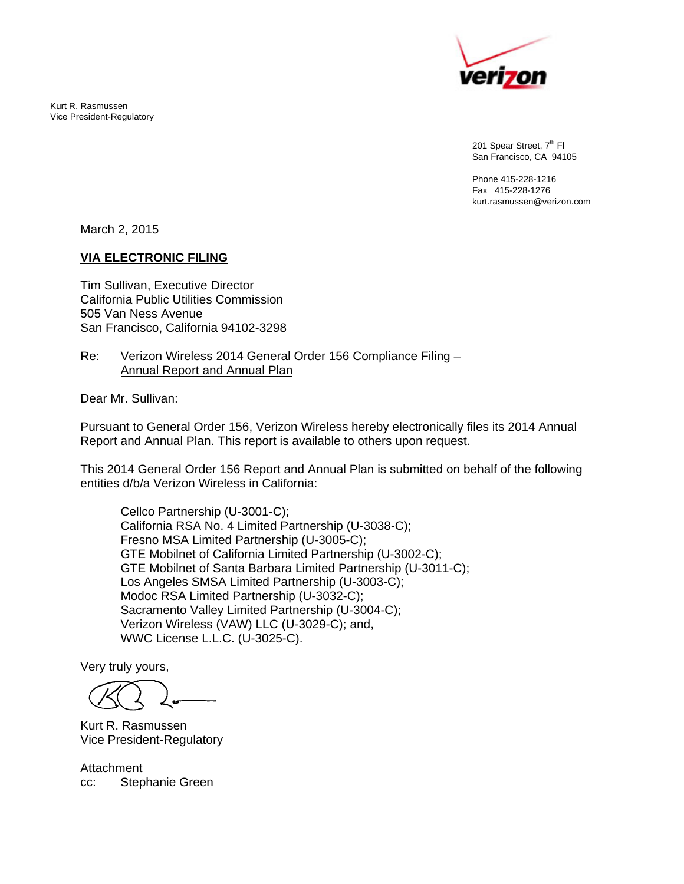

201 Spear Street, 7<sup>th</sup> Fl San Francisco, CA 94105

Phone 415-228-1216 Fax 415-228-1276 kurt.rasmussen@verizon.com

March 2, 2015

Kurt R. Rasmussen Vice President-Regulatory

#### **VIA ELECTRONIC FILING**

Tim Sullivan, Executive Director California Public Utilities Commission 505 Van Ness Avenue San Francisco, California 94102-3298

#### Re: Verizon Wireless 2014 General Order 156 Compliance Filing – Annual Report and Annual Plan

Dear Mr. Sullivan:

Pursuant to General Order 156, Verizon Wireless hereby electronically files its 2014 Annual Report and Annual Plan. This report is available to others upon request.

This 2014 General Order 156 Report and Annual Plan is submitted on behalf of the following entities d/b/a Verizon Wireless in California:

 Cellco Partnership (U-3001-C); California RSA No. 4 Limited Partnership (U-3038-C); Fresno MSA Limited Partnership (U-3005-C); GTE Mobilnet of California Limited Partnership (U-3002-C); GTE Mobilnet of Santa Barbara Limited Partnership (U-3011-C); Los Angeles SMSA Limited Partnership (U-3003-C); Modoc RSA Limited Partnership (U-3032-C); Sacramento Valley Limited Partnership (U-3004-C); Verizon Wireless (VAW) LLC (U-3029-C); and, WWC License L.L.C. (U-3025-C).

Very truly yours,

Kurt R. Rasmussen Vice President-Regulatory

Attachment cc: Stephanie Green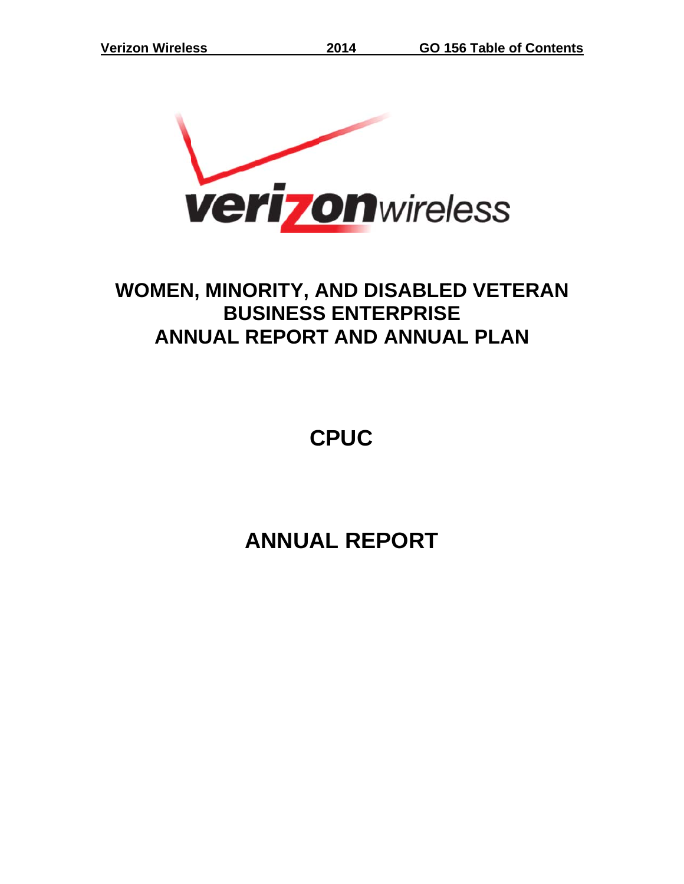

# WOMEN, MINORITY, AND DISABLED VETERAN **ANN NUAL R REPORT T AND ANNUA AL PLA AN BUSINESS ENTERPRISE**

**C CPUC**

**A ANNUA AL REP PORT**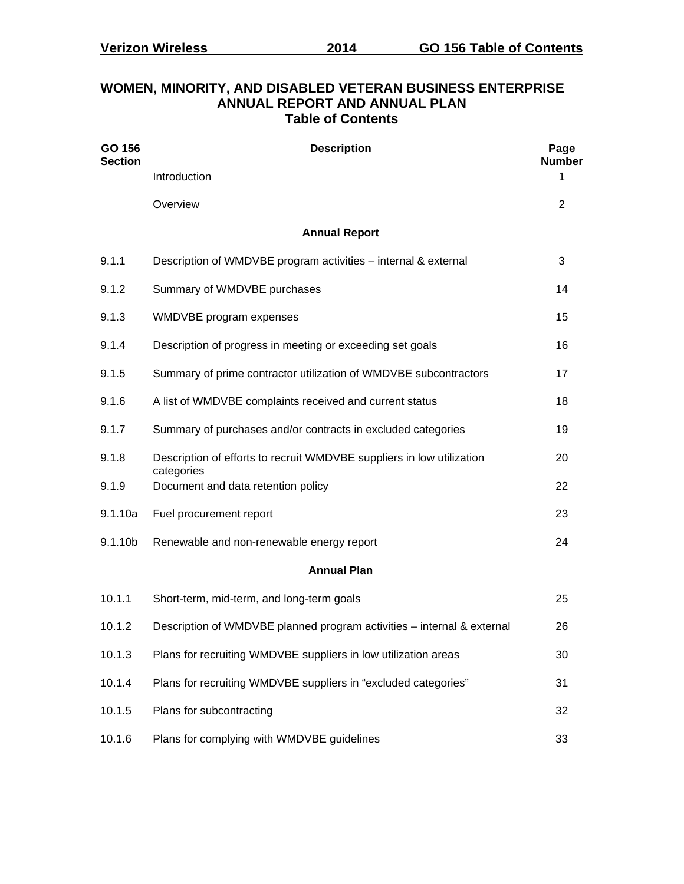| <b>Table of Contents</b> |                                                                        |                       |  |  |  |  |  |  |  |  |  |
|--------------------------|------------------------------------------------------------------------|-----------------------|--|--|--|--|--|--|--|--|--|
| GO 156<br><b>Section</b> | <b>Description</b>                                                     | Page<br><b>Number</b> |  |  |  |  |  |  |  |  |  |
|                          | Introduction                                                           | 1                     |  |  |  |  |  |  |  |  |  |
|                          | Overview                                                               | 2                     |  |  |  |  |  |  |  |  |  |
|                          | <b>Annual Report</b>                                                   |                       |  |  |  |  |  |  |  |  |  |
| 9.1.1                    | Description of WMDVBE program activities - internal & external         | 3                     |  |  |  |  |  |  |  |  |  |
| 9.1.2                    | Summary of WMDVBE purchases                                            | 14                    |  |  |  |  |  |  |  |  |  |
| 9.1.3                    | WMDVBE program expenses                                                | 15                    |  |  |  |  |  |  |  |  |  |
| 9.1.4                    | Description of progress in meeting or exceeding set goals              | 16                    |  |  |  |  |  |  |  |  |  |
| 9.1.5                    | Summary of prime contractor utilization of WMDVBE subcontractors       | 17                    |  |  |  |  |  |  |  |  |  |
| 9.1.6                    | A list of WMDVBE complaints received and current status                | 18                    |  |  |  |  |  |  |  |  |  |
| 9.1.7                    | Summary of purchases and/or contracts in excluded categories           | 19                    |  |  |  |  |  |  |  |  |  |
| 9.1.8                    | Description of efforts to recruit WMDVBE suppliers in low utilization  | 20                    |  |  |  |  |  |  |  |  |  |
| 9.1.9                    | categories<br>Document and data retention policy                       | 22                    |  |  |  |  |  |  |  |  |  |
| 9.1.10a                  | Fuel procurement report                                                | 23                    |  |  |  |  |  |  |  |  |  |
| 9.1.10b                  | Renewable and non-renewable energy report                              | 24                    |  |  |  |  |  |  |  |  |  |
|                          | <b>Annual Plan</b>                                                     |                       |  |  |  |  |  |  |  |  |  |
| 10.1.1                   | Short-term, mid-term, and long-term goals                              | 25                    |  |  |  |  |  |  |  |  |  |
| 10.1.2                   | Description of WMDVBE planned program activities - internal & external | 26                    |  |  |  |  |  |  |  |  |  |
| 10.1.3                   | Plans for recruiting WMDVBE suppliers in low utilization areas         | 30                    |  |  |  |  |  |  |  |  |  |
| 10.1.4                   | Plans for recruiting WMDVBE suppliers in "excluded categories"         | 31                    |  |  |  |  |  |  |  |  |  |
| 10.1.5                   | Plans for subcontracting                                               | 32                    |  |  |  |  |  |  |  |  |  |
| 10.1.6                   | Plans for complying with WMDVBE guidelines                             | 33                    |  |  |  |  |  |  |  |  |  |

# **WOMEN, MINORITY, AND DISABLED VETERAN BUSINESS ENTERPRISE ANNUAL REPORT AND ANNUAL PLAN**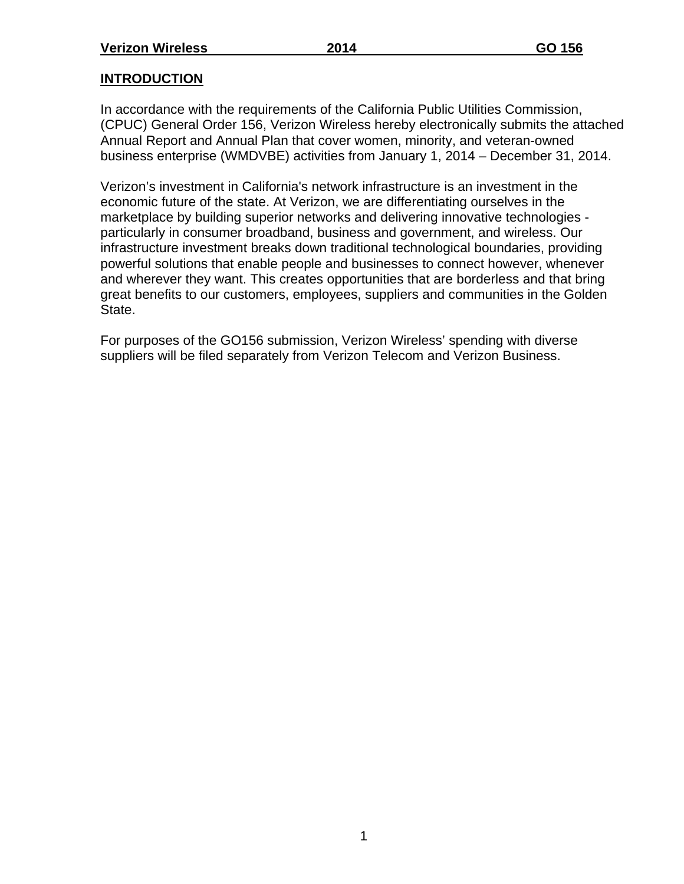## **INTRODUCTION**

In accordance with the requirements of the California Public Utilities Commission, (CPUC) General Order 156, Verizon Wireless hereby electronically submits the attached Annual Report and Annual Plan that cover women, minority, and veteran-owned business enterprise (WMDVBE) activities from January 1, 2014 – December 31, 2014.

Verizon's investment in California's network infrastructure is an investment in the economic future of the state. At Verizon, we are differentiating ourselves in the marketplace by building superior networks and delivering innovative technologies particularly in consumer broadband, business and government, and wireless. Our infrastructure investment breaks down traditional technological boundaries, providing powerful solutions that enable people and businesses to connect however, whenever and wherever they want. This creates opportunities that are borderless and that bring great benefits to our customers, employees, suppliers and communities in the Golden State.

For purposes of the GO156 submission, Verizon Wireless' spending with diverse suppliers will be filed separately from Verizon Telecom and Verizon Business.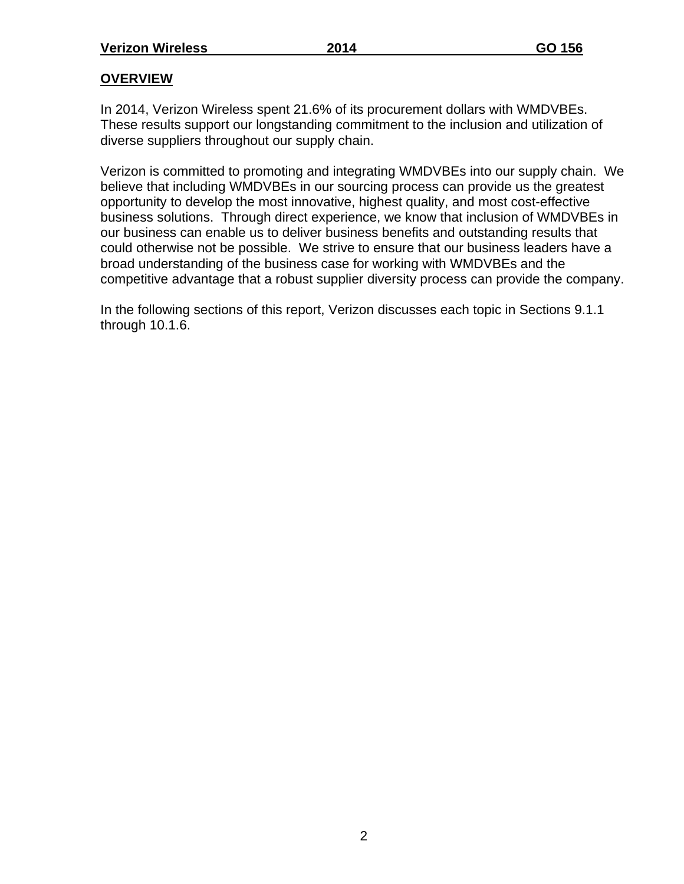### **OVERVIEW**

In 2014, Verizon Wireless spent 21.6% of its procurement dollars with WMDVBEs. These results support our longstanding commitment to the inclusion and utilization of diverse suppliers throughout our supply chain.

Verizon is committed to promoting and integrating WMDVBEs into our supply chain. We believe that including WMDVBEs in our sourcing process can provide us the greatest opportunity to develop the most innovative, highest quality, and most cost-effective business solutions. Through direct experience, we know that inclusion of WMDVBEs in our business can enable us to deliver business benefits and outstanding results that could otherwise not be possible. We strive to ensure that our business leaders have a broad understanding of the business case for working with WMDVBEs and the competitive advantage that a robust supplier diversity process can provide the company.

In the following sections of this report, Verizon discusses each topic in Sections 9.1.1 through 10.1.6.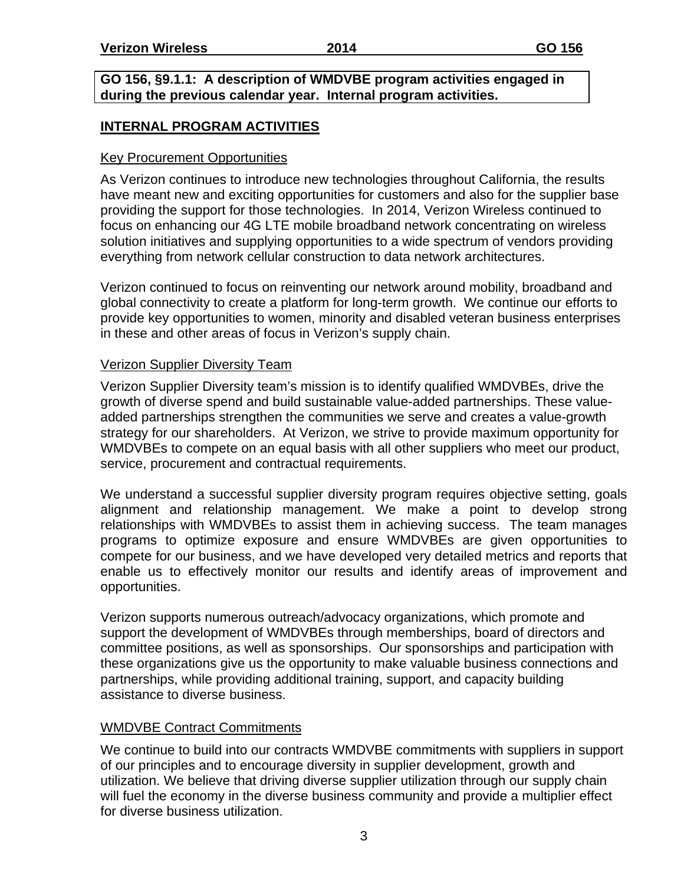#### **GO 156, §9.1.1: A description of WMDVBE program activities engaged in during the previous calendar year. Internal program activities.**

### **INTERNAL PROGRAM ACTIVITIES**

### Key Procurement Opportunities

As Verizon continues to introduce new technologies throughout California, the results have meant new and exciting opportunities for customers and also for the supplier base providing the support for those technologies. In 2014, Verizon Wireless continued to focus on enhancing our 4G LTE mobile broadband network concentrating on wireless solution initiatives and supplying opportunities to a wide spectrum of vendors providing everything from network cellular construction to data network architectures.

Verizon continued to focus on reinventing our network around mobility, broadband and global connectivity to create a platform for long-term growth. We continue our efforts to provide key opportunities to women, minority and disabled veteran business enterprises in these and other areas of focus in Verizon's supply chain.

### Verizon Supplier Diversity Team

Verizon Supplier Diversity team's mission is to identify qualified WMDVBEs, drive the growth of diverse spend and build sustainable value-added partnerships. These valueadded partnerships strengthen the communities we serve and creates a value-growth strategy for our shareholders. At Verizon, we strive to provide maximum opportunity for WMDVBEs to compete on an equal basis with all other suppliers who meet our product, service, procurement and contractual requirements.

We understand a successful supplier diversity program requires objective setting, goals alignment and relationship management. We make a point to develop strong relationships with WMDVBEs to assist them in achieving success. The team manages programs to optimize exposure and ensure WMDVBEs are given opportunities to compete for our business, and we have developed very detailed metrics and reports that enable us to effectively monitor our results and identify areas of improvement and opportunities.

Verizon supports numerous outreach/advocacy organizations, which promote and support the development of WMDVBEs through memberships, board of directors and committee positions, as well as sponsorships. Our sponsorships and participation with these organizations give us the opportunity to make valuable business connections and partnerships, while providing additional training, support, and capacity building assistance to diverse business.

### WMDVBE Contract Commitments

We continue to build into our contracts WMDVBE commitments with suppliers in support of our principles and to encourage diversity in supplier development, growth and utilization. We believe that driving diverse supplier utilization through our supply chain will fuel the economy in the diverse business community and provide a multiplier effect for diverse business utilization.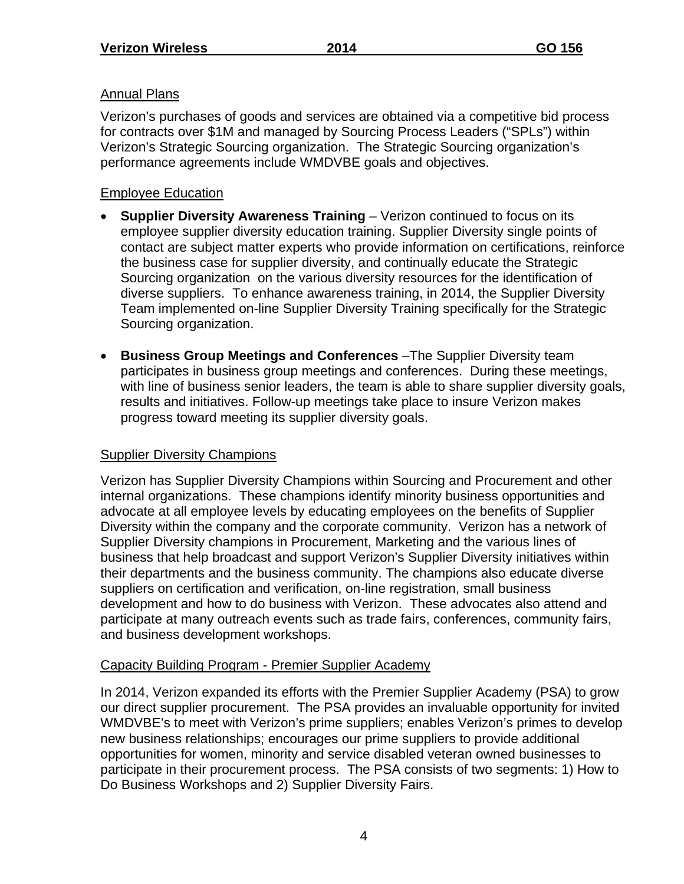### Annual Plans

Verizon's purchases of goods and services are obtained via a competitive bid process for contracts over \$1M and managed by Sourcing Process Leaders ("SPLs") within Verizon's Strategic Sourcing organization. The Strategic Sourcing organization's performance agreements include WMDVBE goals and objectives.

### Employee Education

- **Supplier Diversity Awareness Training** Verizon continued to focus on its employee supplier diversity education training. Supplier Diversity single points of contact are subject matter experts who provide information on certifications, reinforce the business case for supplier diversity, and continually educate the Strategic Sourcing organization on the various diversity resources for the identification of diverse suppliers. To enhance awareness training, in 2014, the Supplier Diversity Team implemented on-line Supplier Diversity Training specifically for the Strategic Sourcing organization.
- **Business Group Meetings and Conferences** –The Supplier Diversity team participates in business group meetings and conferences. During these meetings, with line of business senior leaders, the team is able to share supplier diversity goals, results and initiatives. Follow-up meetings take place to insure Verizon makes progress toward meeting its supplier diversity goals.

### Supplier Diversity Champions

Verizon has Supplier Diversity Champions within Sourcing and Procurement and other internal organizations. These champions identify minority business opportunities and advocate at all employee levels by educating employees on the benefits of Supplier Diversity within the company and the corporate community. Verizon has a network of Supplier Diversity champions in Procurement, Marketing and the various lines of business that help broadcast and support Verizon's Supplier Diversity initiatives within their departments and the business community. The champions also educate diverse suppliers on certification and verification, on-line registration, small business development and how to do business with Verizon. These advocates also attend and participate at many outreach events such as trade fairs, conferences, community fairs, and business development workshops.

### Capacity Building Program - Premier Supplier Academy

In 2014, Verizon expanded its efforts with the Premier Supplier Academy (PSA) to grow our direct supplier procurement. The PSA provides an invaluable opportunity for invited WMDVBE's to meet with Verizon's prime suppliers; enables Verizon's primes to develop new business relationships; encourages our prime suppliers to provide additional opportunities for women, minority and service disabled veteran owned businesses to participate in their procurement process. The PSA consists of two segments: 1) How to Do Business Workshops and 2) Supplier Diversity Fairs.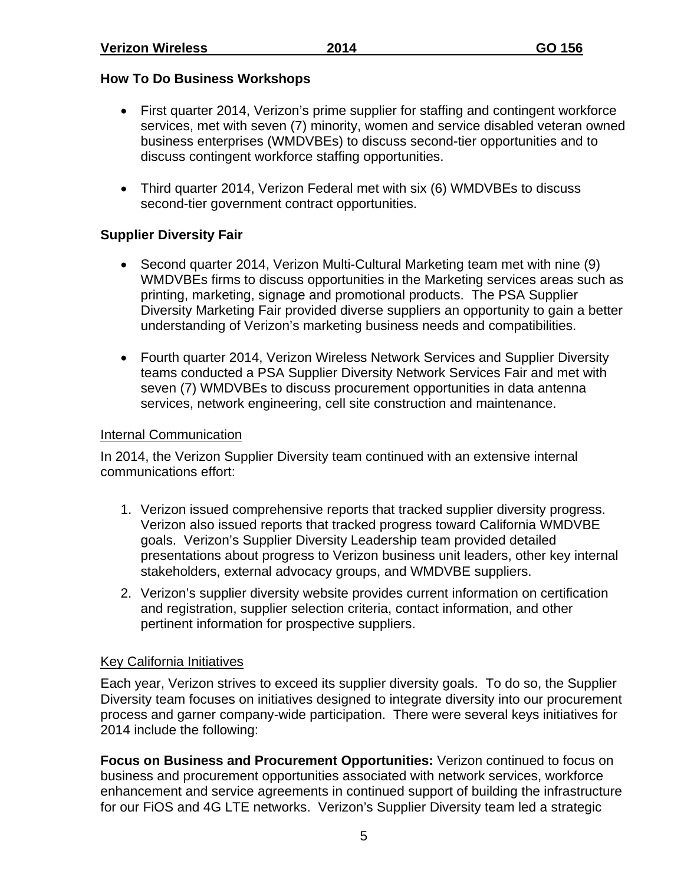### **How To Do Business Workshops**

- First quarter 2014, Verizon's prime supplier for staffing and contingent workforce services, met with seven (7) minority, women and service disabled veteran owned business enterprises (WMDVBEs) to discuss second-tier opportunities and to discuss contingent workforce staffing opportunities.
- Third quarter 2014, Verizon Federal met with six (6) WMDVBEs to discuss second-tier government contract opportunities.

### **Supplier Diversity Fair**

- Second quarter 2014, Verizon Multi-Cultural Marketing team met with nine (9) WMDVBEs firms to discuss opportunities in the Marketing services areas such as printing, marketing, signage and promotional products. The PSA Supplier Diversity Marketing Fair provided diverse suppliers an opportunity to gain a better understanding of Verizon's marketing business needs and compatibilities.
- Fourth quarter 2014, Verizon Wireless Network Services and Supplier Diversity teams conducted a PSA Supplier Diversity Network Services Fair and met with seven (7) WMDVBEs to discuss procurement opportunities in data antenna services, network engineering, cell site construction and maintenance.

### Internal Communication

In 2014, the Verizon Supplier Diversity team continued with an extensive internal communications effort:

- 1. Verizon issued comprehensive reports that tracked supplier diversity progress. Verizon also issued reports that tracked progress toward California WMDVBE goals. Verizon's Supplier Diversity Leadership team provided detailed presentations about progress to Verizon business unit leaders, other key internal stakeholders, external advocacy groups, and WMDVBE suppliers.
- 2. Verizon's supplier diversity website provides current information on certification and registration, supplier selection criteria, contact information, and other pertinent information for prospective suppliers.

### Key California Initiatives

Each year, Verizon strives to exceed its supplier diversity goals. To do so, the Supplier Diversity team focuses on initiatives designed to integrate diversity into our procurement process and garner company-wide participation. There were several keys initiatives for 2014 include the following:

**Focus on Business and Procurement Opportunities:** Verizon continued to focus on business and procurement opportunities associated with network services, workforce enhancement and service agreements in continued support of building the infrastructure for our FiOS and 4G LTE networks. Verizon's Supplier Diversity team led a strategic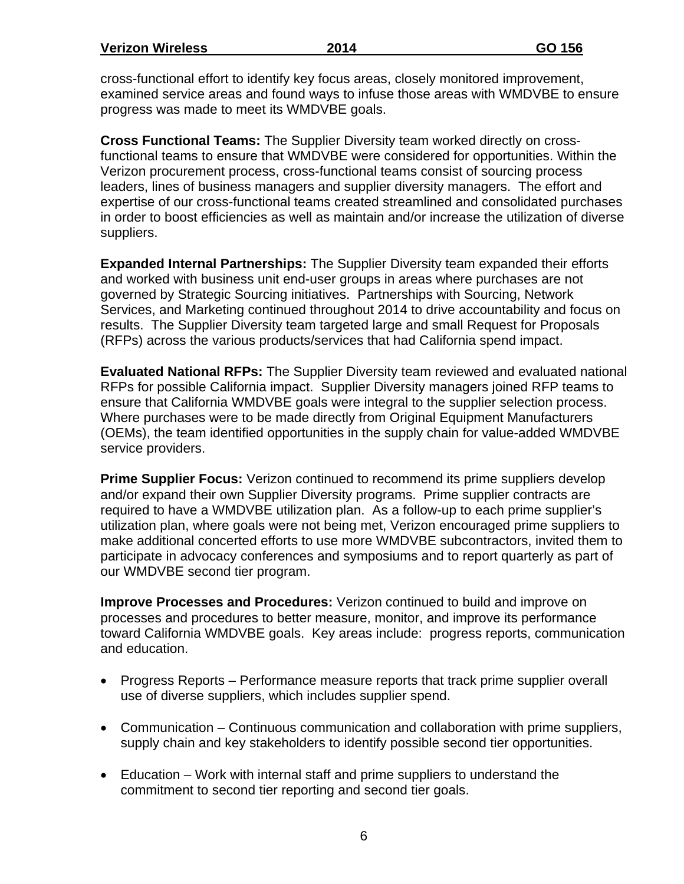**Verizon Wireless 2014 GO 156** 

cross-functional effort to identify key focus areas, closely monitored improvement, examined service areas and found ways to infuse those areas with WMDVBE to ensure progress was made to meet its WMDVBE goals.

**Cross Functional Teams:** The Supplier Diversity team worked directly on crossfunctional teams to ensure that WMDVBE were considered for opportunities. Within the Verizon procurement process, cross-functional teams consist of sourcing process leaders, lines of business managers and supplier diversity managers. The effort and expertise of our cross-functional teams created streamlined and consolidated purchases in order to boost efficiencies as well as maintain and/or increase the utilization of diverse suppliers.

**Expanded Internal Partnerships:** The Supplier Diversity team expanded their efforts and worked with business unit end-user groups in areas where purchases are not governed by Strategic Sourcing initiatives. Partnerships with Sourcing, Network Services, and Marketing continued throughout 2014 to drive accountability and focus on results. The Supplier Diversity team targeted large and small Request for Proposals (RFPs) across the various products/services that had California spend impact.

**Evaluated National RFPs:** The Supplier Diversity team reviewed and evaluated national RFPs for possible California impact. Supplier Diversity managers joined RFP teams to ensure that California WMDVBE goals were integral to the supplier selection process. Where purchases were to be made directly from Original Equipment Manufacturers (OEMs), the team identified opportunities in the supply chain for value-added WMDVBE service providers.

**Prime Supplier Focus:** Verizon continued to recommend its prime suppliers develop and/or expand their own Supplier Diversity programs. Prime supplier contracts are required to have a WMDVBE utilization plan. As a follow-up to each prime supplier's utilization plan, where goals were not being met, Verizon encouraged prime suppliers to make additional concerted efforts to use more WMDVBE subcontractors, invited them to participate in advocacy conferences and symposiums and to report quarterly as part of our WMDVBE second tier program.

**Improve Processes and Procedures:** Verizon continued to build and improve on processes and procedures to better measure, monitor, and improve its performance toward California WMDVBE goals. Key areas include: progress reports, communication and education.

- Progress Reports Performance measure reports that track prime supplier overall use of diverse suppliers, which includes supplier spend.
- Communication Continuous communication and collaboration with prime suppliers, supply chain and key stakeholders to identify possible second tier opportunities.
- Education Work with internal staff and prime suppliers to understand the commitment to second tier reporting and second tier goals.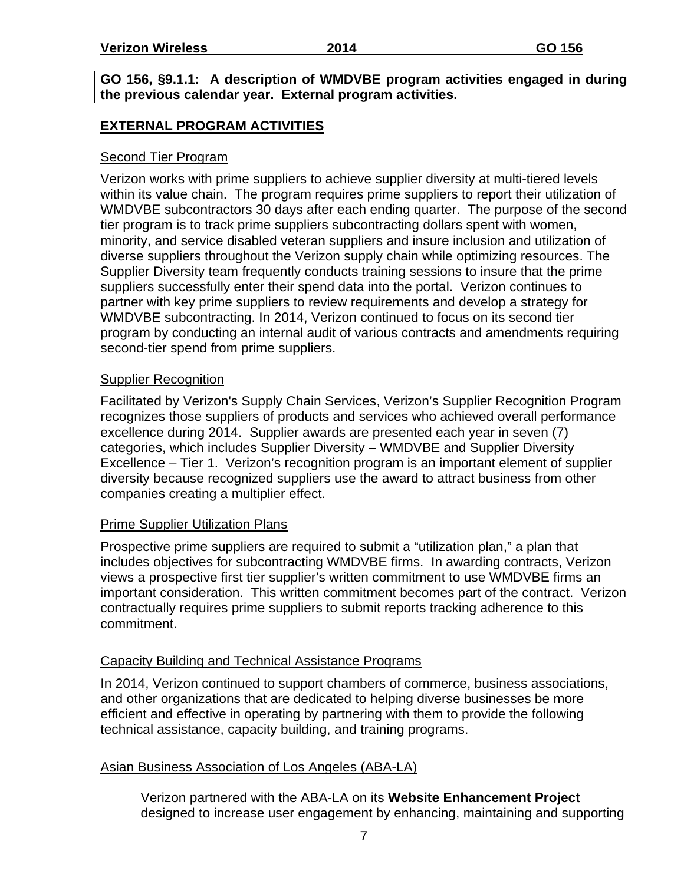**GO 156, §9.1.1: A description of WMDVBE program activities engaged in during the previous calendar year. External program activities.** 

### **EXTERNAL PROGRAM ACTIVITIES**

### Second Tier Program

Verizon works with prime suppliers to achieve supplier diversity at multi-tiered levels within its value chain. The program requires prime suppliers to report their utilization of WMDVBE subcontractors 30 days after each ending quarter. The purpose of the second tier program is to track prime suppliers subcontracting dollars spent with women, minority, and service disabled veteran suppliers and insure inclusion and utilization of diverse suppliers throughout the Verizon supply chain while optimizing resources. The Supplier Diversity team frequently conducts training sessions to insure that the prime suppliers successfully enter their spend data into the portal. Verizon continues to partner with key prime suppliers to review requirements and develop a strategy for WMDVBE subcontracting. In 2014, Verizon continued to focus on its second tier program by conducting an internal audit of various contracts and amendments requiring second-tier spend from prime suppliers.

### Supplier Recognition

Facilitated by Verizon's Supply Chain Services, Verizon's Supplier Recognition Program recognizes those suppliers of products and services who achieved overall performance excellence during 2014. Supplier awards are presented each year in seven (7) categories, which includes Supplier Diversity – WMDVBE and Supplier Diversity Excellence – Tier 1. Verizon's recognition program is an important element of supplier diversity because recognized suppliers use the award to attract business from other companies creating a multiplier effect.

### Prime Supplier Utilization Plans

Prospective prime suppliers are required to submit a "utilization plan," a plan that includes objectives for subcontracting WMDVBE firms. In awarding contracts, Verizon views a prospective first tier supplier's written commitment to use WMDVBE firms an important consideration. This written commitment becomes part of the contract. Verizon contractually requires prime suppliers to submit reports tracking adherence to this commitment.

### Capacity Building and Technical Assistance Programs

In 2014, Verizon continued to support chambers of commerce, business associations, and other organizations that are dedicated to helping diverse businesses be more efficient and effective in operating by partnering with them to provide the following technical assistance, capacity building, and training programs.

### Asian Business Association of Los Angeles (ABA-LA)

Verizon partnered with the ABA-LA on its **Website Enhancement Project** designed to increase user engagement by enhancing, maintaining and supporting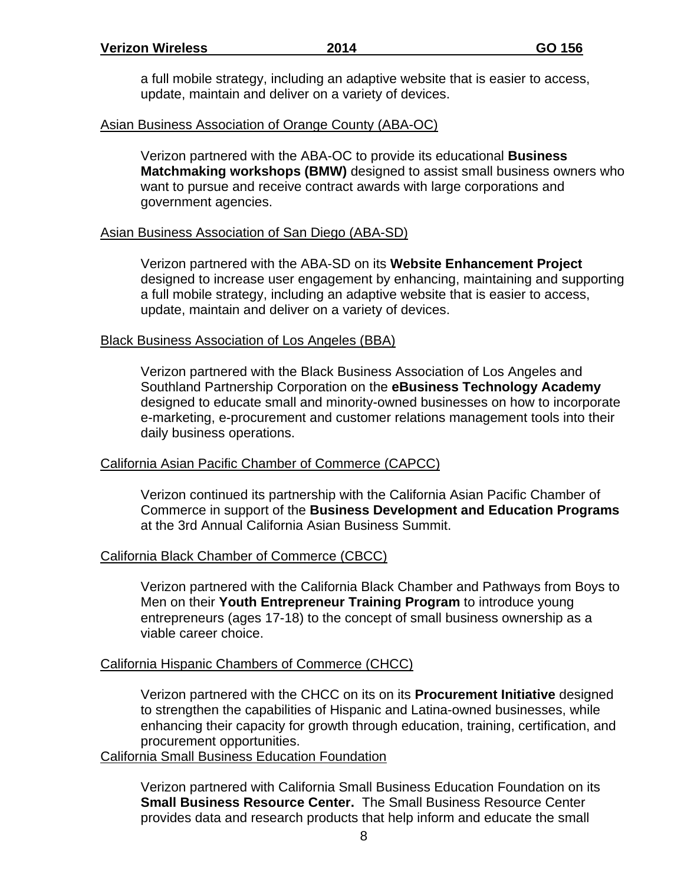a full mobile strategy, including an adaptive website that is easier to access, update, maintain and deliver on a variety of devices.

### Asian Business Association of Orange County (ABA-OC)

Verizon partnered with the ABA-OC to provide its educational **Business Matchmaking workshops (BMW)** designed to assist small business owners who want to pursue and receive contract awards with large corporations and government agencies.

### Asian Business Association of San Diego (ABA-SD)

Verizon partnered with the ABA-SD on its **Website Enhancement Project** designed to increase user engagement by enhancing, maintaining and supporting a full mobile strategy, including an adaptive website that is easier to access, update, maintain and deliver on a variety of devices.

### Black Business Association of Los Angeles (BBA)

Verizon partnered with the Black Business Association of Los Angeles and Southland Partnership Corporation on the **eBusiness Technology Academy** designed to educate small and minority-owned businesses on how to incorporate e-marketing, e-procurement and customer relations management tools into their daily business operations.

### California Asian Pacific Chamber of Commerce (CAPCC)

Verizon continued its partnership with the California Asian Pacific Chamber of Commerce in support of the **Business Development and Education Programs** at the 3rd Annual California Asian Business Summit.

### California Black Chamber of Commerce (CBCC)

Verizon partnered with the California Black Chamber and Pathways from Boys to Men on their **Youth Entrepreneur Training Program** to introduce young entrepreneurs (ages 17-18) to the concept of small business ownership as a viable career choice.

#### California Hispanic Chambers of Commerce (CHCC)

Verizon partnered with the CHCC on its on its **Procurement Initiative** designed to strengthen the capabilities of Hispanic and Latina-owned businesses, while enhancing their capacity for growth through education, training, certification, and procurement opportunities.

#### California Small Business Education Foundation

Verizon partnered with California Small Business Education Foundation on its **Small Business Resource Center.** The Small Business Resource Center provides data and research products that help inform and educate the small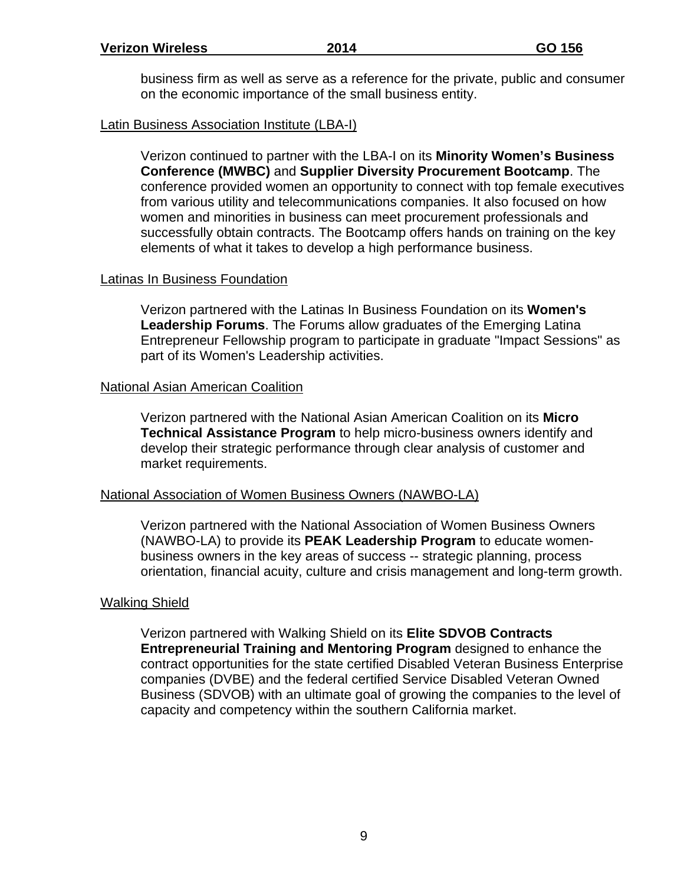business firm as well as serve as a reference for the private, public and consumer on the economic importance of the small business entity.

### Latin Business Association Institute (LBA-I)

Verizon continued to partner with the LBA-I on its **Minority Women's Business Conference (MWBC)** and **Supplier Diversity Procurement Bootcamp**. The conference provided women an opportunity to connect with top female executives from various utility and telecommunications companies. It also focused on how women and minorities in business can meet procurement professionals and successfully obtain contracts. The Bootcamp offers hands on training on the key elements of what it takes to develop a high performance business.

#### Latinas In Business Foundation

Verizon partnered with the Latinas In Business Foundation on its **Women's Leadership Forums**. The Forums allow graduates of the Emerging Latina Entrepreneur Fellowship program to participate in graduate "Impact Sessions" as part of its Women's Leadership activities.

### National Asian American Coalition

Verizon partnered with the National Asian American Coalition on its **Micro Technical Assistance Program** to help micro-business owners identify and develop their strategic performance through clear analysis of customer and market requirements.

#### National Association of Women Business Owners (NAWBO-LA)

Verizon partnered with the National Association of Women Business Owners (NAWBO-LA) to provide its **PEAK Leadership Program** to educate womenbusiness owners in the key areas of success -- strategic planning, process orientation, financial acuity, culture and crisis management and long-term growth.

### Walking Shield

Verizon partnered with Walking Shield on its **Elite SDVOB Contracts Entrepreneurial Training and Mentoring Program** designed to enhance the contract opportunities for the state certified Disabled Veteran Business Enterprise companies (DVBE) and the federal certified Service Disabled Veteran Owned Business (SDVOB) with an ultimate goal of growing the companies to the level of capacity and competency within the southern California market.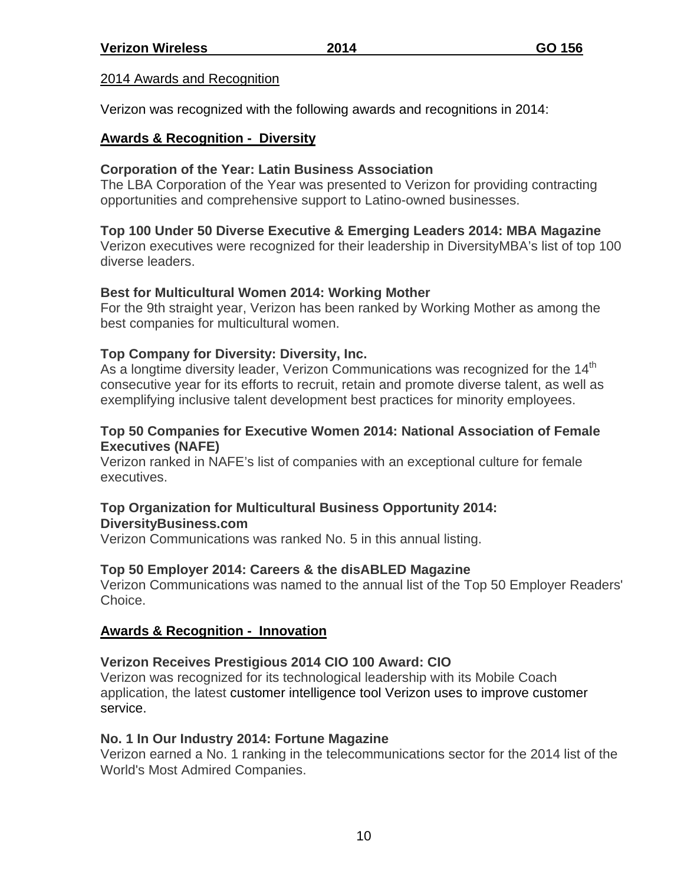### 2014 Awards and Recognition

Verizon was recognized with the following awards and recognitions in 2014:

### **Awards & Recognition - Diversity**

### **Corporation of the Year: Latin Business Association**

The LBA Corporation of the Year was presented to Verizon for providing contracting opportunities and comprehensive support to Latino-owned businesses.

### **Top 100 Under 50 Diverse Executive & Emerging Leaders 2014: MBA Magazine**

Verizon executives were recognized for their leadership in DiversityMBA's list of top 100 diverse leaders.

### **Best for Multicultural Women 2014: Working Mother**

For the 9th straight year, Verizon has been ranked by Working Mother as among the best companies for multicultural women.

### **Top Company for Diversity: Diversity, Inc.**

As a longtime diversity leader, Verizon Communications was recognized for the  $14<sup>th</sup>$ consecutive year for its efforts to recruit, retain and promote diverse talent, as well as exemplifying inclusive talent development best practices for minority employees.

### **Top 50 Companies for Executive Women 2014: National Association of Female Executives (NAFE)**

Verizon ranked in NAFE's list of companies with an exceptional culture for female executives.

#### **Top Organization for Multicultural Business Opportunity 2014: DiversityBusiness.com**

Verizon Communications was ranked No. 5 in this annual listing.

### **Top 50 Employer 2014: Careers & the disABLED Magazine**

Verizon Communications was named to the annual list of the Top 50 Employer Readers' Choice.

### **Awards & Recognition - Innovation**

### **Verizon Receives Prestigious 2014 CIO 100 Award: CIO**

Verizon was recognized for its technological leadership with its Mobile Coach application, the latest customer intelligence tool Verizon uses to improve customer service.

#### **No. 1 In Our Industry 2014: Fortune Magazine**

Verizon earned a No. 1 ranking in the telecommunications sector for the 2014 list of the World's Most Admired Companies.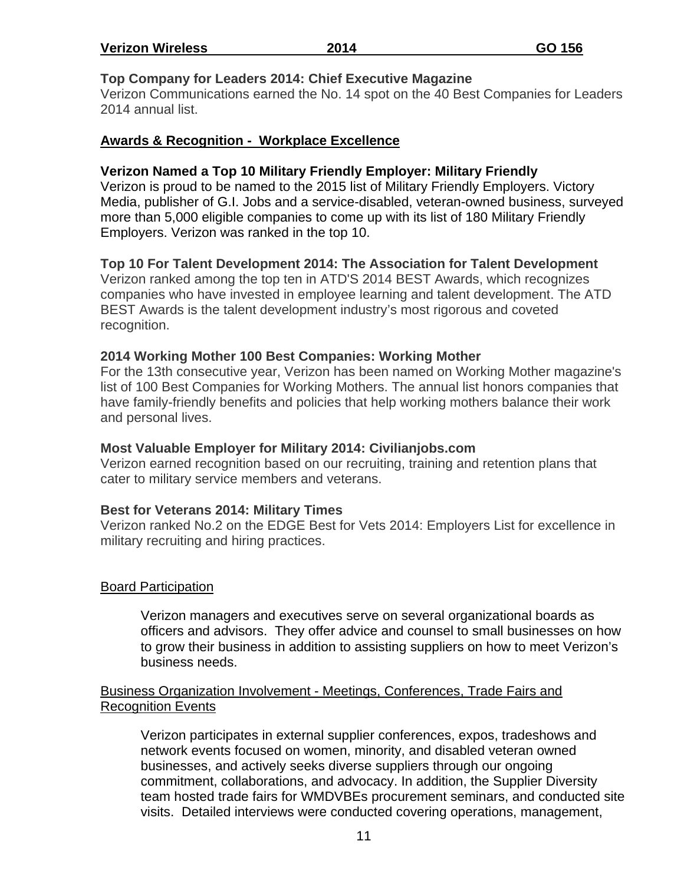| <b>Verizon Wireless</b> | 2014 | GO 156 |
|-------------------------|------|--------|
|-------------------------|------|--------|

### **Top Company for Leaders 2014: Chief Executive Magazine**

Verizon Communications earned the No. 14 spot on the 40 Best Companies for Leaders 2014 annual list.

### **Awards & Recognition - Workplace Excellence**

#### **Verizon Named a Top 10 Military Friendly Employer: Military Friendly**

Verizon is proud to be named to the 2015 list of Military Friendly Employers. Victory Media, publisher of G.I. Jobs and a service-disabled, veteran-owned business, surveyed more than 5,000 eligible companies to come up with its list of 180 Military Friendly Employers. Verizon was ranked in the top 10.

### **Top 10 For Talent Development 2014: The Association for Talent Development**

Verizon ranked among the top ten in ATD'S 2014 BEST Awards, which recognizes companies who have invested in employee learning and talent development. The ATD BEST Awards is the talent development industry's most rigorous and coveted recognition.

#### **2014 Working Mother 100 Best Companies: Working Mother**

For the 13th consecutive year, Verizon has been named on Working Mother magazine's list of 100 Best Companies for Working Mothers. The annual list honors companies that have family-friendly benefits and policies that help working mothers balance their work and personal lives.

#### **Most Valuable Employer for Military 2014: Civilianjobs.com**

Verizon earned recognition based on our recruiting, training and retention plans that cater to military service members and veterans.

#### **Best for Veterans 2014: Military Times**

Verizon ranked No.2 on the EDGE Best for Vets 2014: Employers List for excellence in military recruiting and hiring practices.

#### Board Participation

Verizon managers and executives serve on several organizational boards as officers and advisors. They offer advice and counsel to small businesses on how to grow their business in addition to assisting suppliers on how to meet Verizon's business needs.

#### Business Organization Involvement - Meetings, Conferences, Trade Fairs and Recognition Events

Verizon participates in external supplier conferences, expos, tradeshows and network events focused on women, minority, and disabled veteran owned businesses, and actively seeks diverse suppliers through our ongoing commitment, collaborations, and advocacy. In addition, the Supplier Diversity team hosted trade fairs for WMDVBEs procurement seminars, and conducted site visits. Detailed interviews were conducted covering operations, management,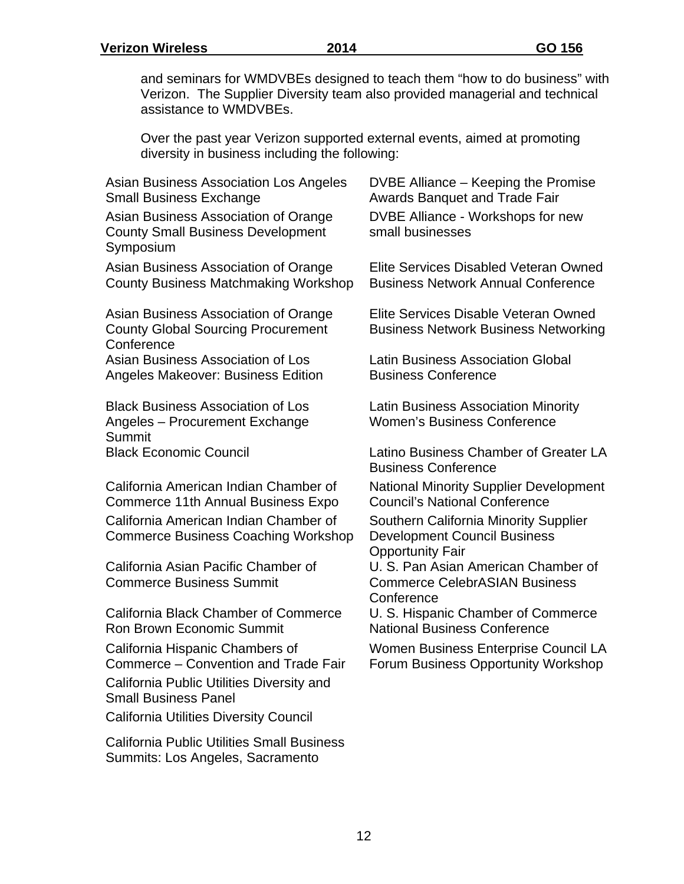and seminars for WMDVBEs designed to teach them "how to do business" with Verizon. The Supplier Diversity team also provided managerial and technical assistance to WMDVBEs.

Over the past year Verizon supported external events, aimed at promoting diversity in business including the following:

| Asian Business Association Los Angeles<br><b>Small Business Exchange</b>                        | DVBE Alliance – Keeping the Promise<br><b>Awards Banquet and Trade Fair</b>                             |
|-------------------------------------------------------------------------------------------------|---------------------------------------------------------------------------------------------------------|
| Asian Business Association of Orange<br><b>County Small Business Development</b><br>Symposium   | DVBE Alliance - Workshops for new<br>small businesses                                                   |
| Asian Business Association of Orange<br><b>County Business Matchmaking Workshop</b>             | Elite Services Disabled Veteran Owned<br><b>Business Network Annual Conference</b>                      |
| Asian Business Association of Orange<br><b>County Global Sourcing Procurement</b><br>Conference | Elite Services Disable Veteran Owned<br><b>Business Network Business Networking</b>                     |
| Asian Business Association of Los<br>Angeles Makeover: Business Edition                         | <b>Latin Business Association Global</b><br><b>Business Conference</b>                                  |
| <b>Black Business Association of Los</b><br>Angeles - Procurement Exchange<br>Summit            | <b>Latin Business Association Minority</b><br><b>Women's Business Conference</b>                        |
| <b>Black Economic Council</b>                                                                   | Latino Business Chamber of Greater LA<br><b>Business Conference</b>                                     |
| California American Indian Chamber of<br><b>Commerce 11th Annual Business Expo</b>              | <b>National Minority Supplier Development</b><br><b>Council's National Conference</b>                   |
| California American Indian Chamber of<br><b>Commerce Business Coaching Workshop</b>             | Southern California Minority Supplier<br><b>Development Council Business</b><br><b>Opportunity Fair</b> |
| California Asian Pacific Chamber of<br><b>Commerce Business Summit</b>                          | U. S. Pan Asian American Chamber of<br><b>Commerce CelebrASIAN Business</b><br>Conference               |
| <b>California Black Chamber of Commerce</b><br><b>Ron Brown Economic Summit</b>                 | U. S. Hispanic Chamber of Commerce<br><b>National Business Conference</b>                               |
| California Hispanic Chambers of<br>Commerce - Convention and Trade Fair                         | Women Business Enterprise Council LA<br>Forum Business Opportunity Workshop                             |
| California Public Utilities Diversity and<br><b>Small Business Panel</b>                        |                                                                                                         |
| <b>California Utilities Diversity Council</b>                                                   |                                                                                                         |
| <b>California Public Utilities Small Business</b><br>Summits: Los Angeles, Sacramento           |                                                                                                         |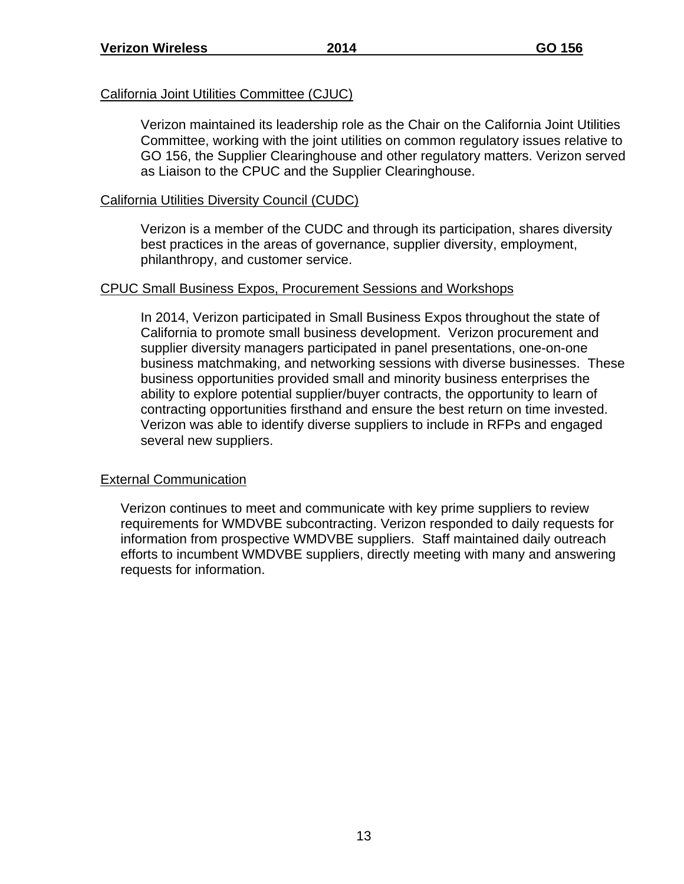#### California Joint Utilities Committee (CJUC)

Verizon maintained its leadership role as the Chair on the California Joint Utilities Committee, working with the joint utilities on common regulatory issues relative to GO 156, the Supplier Clearinghouse and other regulatory matters. Verizon served as Liaison to the CPUC and the Supplier Clearinghouse.

#### California Utilities Diversity Council (CUDC)

Verizon is a member of the CUDC and through its participation, shares diversity best practices in the areas of governance, supplier diversity, employment, philanthropy, and customer service.

#### CPUC Small Business Expos, Procurement Sessions and Workshops

In 2014, Verizon participated in Small Business Expos throughout the state of California to promote small business development. Verizon procurement and supplier diversity managers participated in panel presentations, one-on-one business matchmaking, and networking sessions with diverse businesses. These business opportunities provided small and minority business enterprises the ability to explore potential supplier/buyer contracts, the opportunity to learn of contracting opportunities firsthand and ensure the best return on time invested. Verizon was able to identify diverse suppliers to include in RFPs and engaged several new suppliers.

### External Communication

Verizon continues to meet and communicate with key prime suppliers to review requirements for WMDVBE subcontracting. Verizon responded to daily requests for information from prospective WMDVBE suppliers. Staff maintained daily outreach efforts to incumbent WMDVBE suppliers, directly meeting with many and answering requests for information.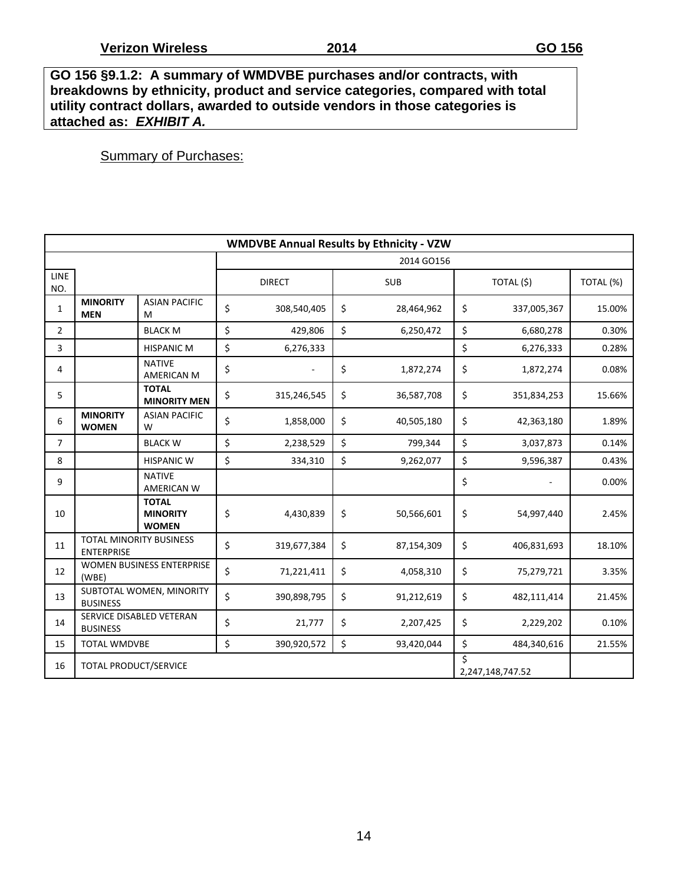**GO 156 §9.1.2: A summary of WMDVBE purchases and/or contracts, with breakdowns by ethnicity, product and service categories, compared with total utility contract dollars, awarded to outside vendors in those categories is attached as:** *EXHIBIT A.*

### **Summary of Purchases:**

| <b>WMDVBE Annual Results by Ethnicity - VZW</b> |                                              |                                                       |                 |                                     |    |            |                   |             |           |  |  |  |
|-------------------------------------------------|----------------------------------------------|-------------------------------------------------------|-----------------|-------------------------------------|----|------------|-------------------|-------------|-----------|--|--|--|
|                                                 |                                              |                                                       |                 |                                     |    | 2014 GO156 |                   |             |           |  |  |  |
| <b>LINE</b><br>NO.                              |                                              |                                                       |                 | <b>DIRECT</b>                       |    | <b>SUB</b> |                   | TOTAL (\$)  | TOTAL (%) |  |  |  |
| $\mathbf{1}$                                    | <b>MINORITY</b><br><b>MEN</b>                | <b>ASIAN PACIFIC</b><br>M                             | \$              | 308,540,405                         | \$ | 28,464,962 | \$                | 337,005,367 | 15.00%    |  |  |  |
| $\overline{2}$                                  |                                              | <b>BLACK M</b>                                        | \$              | 429,806                             | \$ | 6,250,472  | \$                | 6,680,278   | 0.30%     |  |  |  |
| 3                                               |                                              | <b>HISPANIC M</b>                                     | \$              | 6,276,333                           |    |            | \$                | 6,276,333   | 0.28%     |  |  |  |
| 4                                               |                                              | <b>NATIVE</b><br>AMERICAN M                           | \$              |                                     | \$ | 1,872,274  | \$                | 1,872,274   | 0.08%     |  |  |  |
| 5                                               |                                              | <b>TOTAL</b><br><b>MINORITY MEN</b>                   | \$              | 315,246,545                         | \$ | 36,587,708 | \$                | 351,834,253 | 15.66%    |  |  |  |
| 6                                               | <b>MINORITY</b><br><b>WOMEN</b>              | <b>ASIAN PACIFIC</b><br>W                             | \$              | 1,858,000                           | \$ | 40,505,180 | \$                | 42,363,180  | 1.89%     |  |  |  |
| $\overline{7}$                                  |                                              | <b>BLACK W</b>                                        | \$<br>2,238,529 |                                     | \$ | 799,344    | \$                | 3,037,873   | 0.14%     |  |  |  |
| 8                                               |                                              | <b>HISPANIC W</b>                                     | \$              | 334,310                             | \$ | 9,262,077  |                   | 9,596,387   | 0.43%     |  |  |  |
| 9                                               |                                              | <b>NATIVE</b><br><b>AMERICAN W</b>                    |                 |                                     |    |            | \$                |             | 0.00%     |  |  |  |
| 10                                              |                                              | <b>TOTAL</b><br><b>MINORITY</b><br><b>WOMEN</b>       | \$              | 4,430,839                           | \$ | 50,566,601 | \$                | 54,997,440  | 2.45%     |  |  |  |
| 11                                              | TOTAL MINORITY BUSINESS<br><b>ENTERPRISE</b> |                                                       | \$              | 319,677,384                         | \$ | 87,154,309 | \$                | 406,831,693 | 18.10%    |  |  |  |
| 12                                              | WOMEN BUSINESS ENTERPRISE<br>(WBE)           |                                                       |                 | \$<br>\$<br>71,221,411<br>4,058,310 |    |            |                   | 75,279,721  | 3.35%     |  |  |  |
| 13                                              | SUBTOTAL WOMEN, MINORITY<br><b>BUSINESS</b>  |                                                       |                 | 390,898,795                         | \$ | 91,212,619 | \$<br>482,111,414 |             | 21.45%    |  |  |  |
| 14                                              | SERVICE DISABLED VETERAN<br><b>BUSINESS</b>  |                                                       |                 | 21,777                              | \$ | 2,207,425  | \$                | 2,229,202   | 0.10%     |  |  |  |
| 15                                              | <b>TOTAL WMDVBE</b>                          |                                                       | \$              | 390,920,572                         | \$ | 93,420,044 | \$                | 484,340,616 | 21.55%    |  |  |  |
| 16                                              |                                              | Ś<br><b>TOTAL PRODUCT/SERVICE</b><br>2,247,148,747.52 |                 |                                     |    |            |                   |             |           |  |  |  |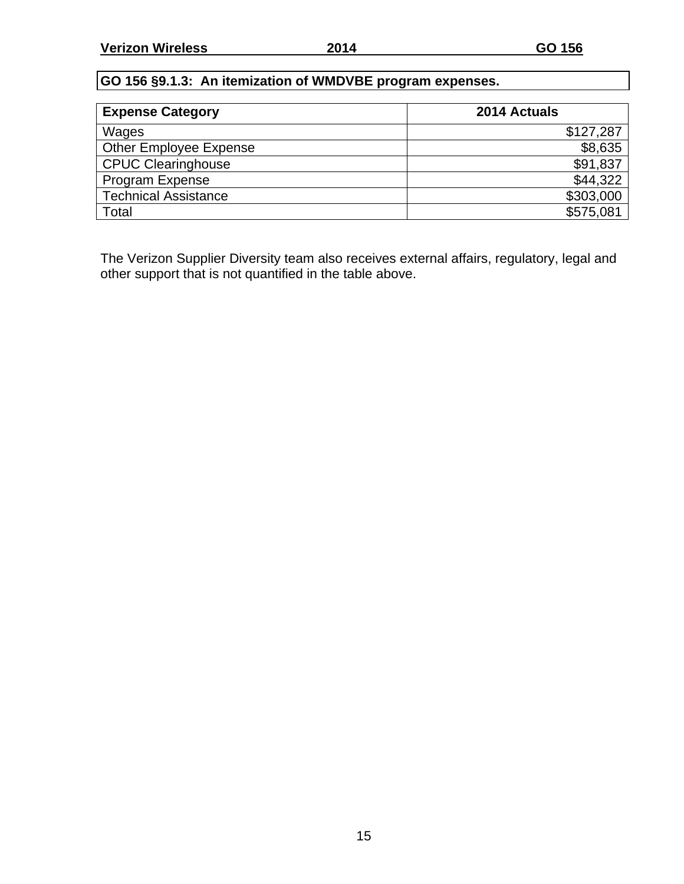## **GO 156 §9.1.3: An itemization of WMDVBE program expenses.**

| <b>Expense Category</b>       | 2014 Actuals |
|-------------------------------|--------------|
| Wages                         | \$127,287    |
| <b>Other Employee Expense</b> | \$8,635      |
| <b>CPUC Clearinghouse</b>     | \$91,837     |
| Program Expense               | \$44,322     |
| <b>Technical Assistance</b>   | \$303,000    |
| Total                         | \$575,081    |

The Verizon Supplier Diversity team also receives external affairs, regulatory, legal and other support that is not quantified in the table above.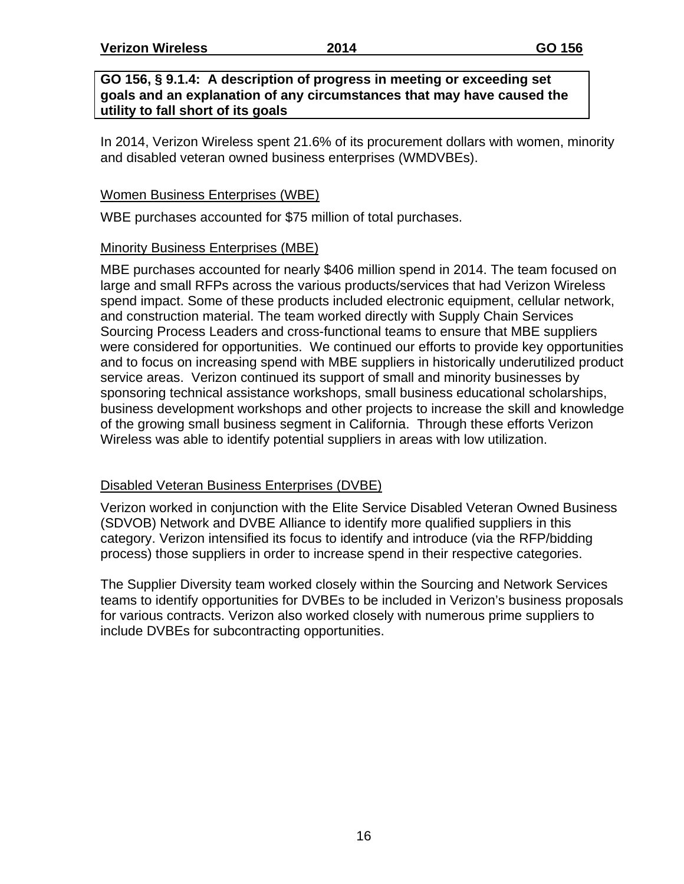**Verizon Wireless 2014 GO 156** 

#### **GO 156, § 9.1.4: A description of progress in meeting or exceeding set goals and an explanation of any circumstances that may have caused the utility to fall short of its goals**

In 2014, Verizon Wireless spent 21.6% of its procurement dollars with women, minority and disabled veteran owned business enterprises (WMDVBEs).

### Women Business Enterprises (WBE)

WBE purchases accounted for \$75 million of total purchases.

### Minority Business Enterprises (MBE)

MBE purchases accounted for nearly \$406 million spend in 2014. The team focused on large and small RFPs across the various products/services that had Verizon Wireless spend impact. Some of these products included electronic equipment, cellular network, and construction material. The team worked directly with Supply Chain Services Sourcing Process Leaders and cross-functional teams to ensure that MBE suppliers were considered for opportunities. We continued our efforts to provide key opportunities and to focus on increasing spend with MBE suppliers in historically underutilized product service areas. Verizon continued its support of small and minority businesses by sponsoring technical assistance workshops, small business educational scholarships, business development workshops and other projects to increase the skill and knowledge of the growing small business segment in California. Through these efforts Verizon Wireless was able to identify potential suppliers in areas with low utilization.

### Disabled Veteran Business Enterprises (DVBE)

Verizon worked in conjunction with the Elite Service Disabled Veteran Owned Business (SDVOB) Network and DVBE Alliance to identify more qualified suppliers in this category. Verizon intensified its focus to identify and introduce (via the RFP/bidding process) those suppliers in order to increase spend in their respective categories.

The Supplier Diversity team worked closely within the Sourcing and Network Services teams to identify opportunities for DVBEs to be included in Verizon's business proposals for various contracts. Verizon also worked closely with numerous prime suppliers to include DVBEs for subcontracting opportunities.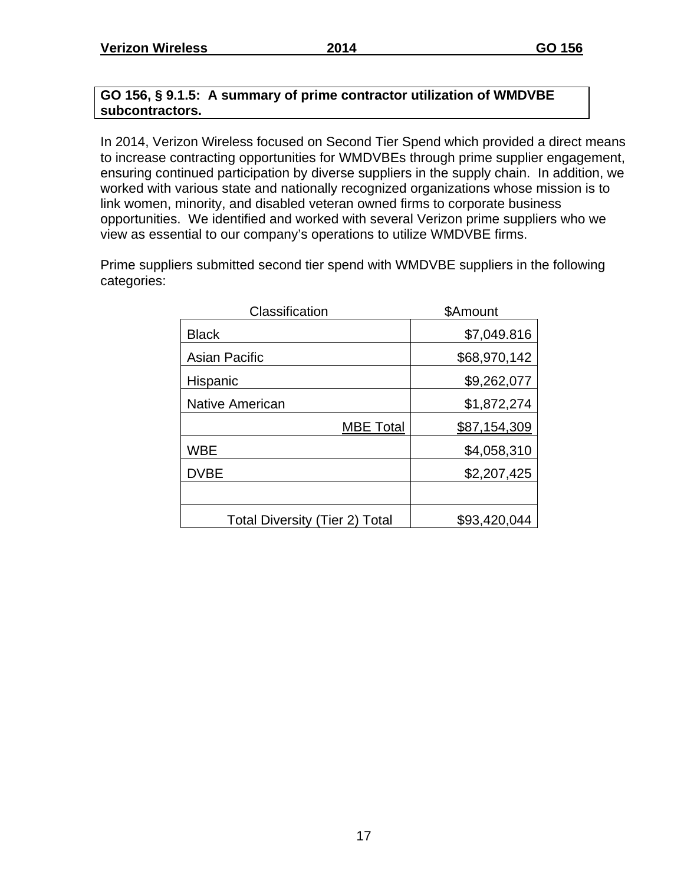### **GO 156, § 9.1.5: A summary of prime contractor utilization of WMDVBE subcontractors.**

In 2014, Verizon Wireless focused on Second Tier Spend which provided a direct means to increase contracting opportunities for WMDVBEs through prime supplier engagement, ensuring continued participation by diverse suppliers in the supply chain. In addition, we worked with various state and nationally recognized organizations whose mission is to link women, minority, and disabled veteran owned firms to corporate business opportunities. We identified and worked with several Verizon prime suppliers who we view as essential to our company's operations to utilize WMDVBE firms.

Prime suppliers submitted second tier spend with WMDVBE suppliers in the following categories:

| Classification                        | \$Amount     |
|---------------------------------------|--------------|
| <b>Black</b>                          | \$7,049.816  |
| <b>Asian Pacific</b>                  | \$68,970,142 |
| Hispanic                              | \$9,262,077  |
| <b>Native American</b>                | \$1,872,274  |
| <b>MBE Total</b>                      | \$87,154,309 |
| <b>WBE</b>                            | \$4,058,310  |
| <b>DVBE</b>                           | \$2,207,425  |
|                                       |              |
| <b>Total Diversity (Tier 2) Total</b> | \$93,420,044 |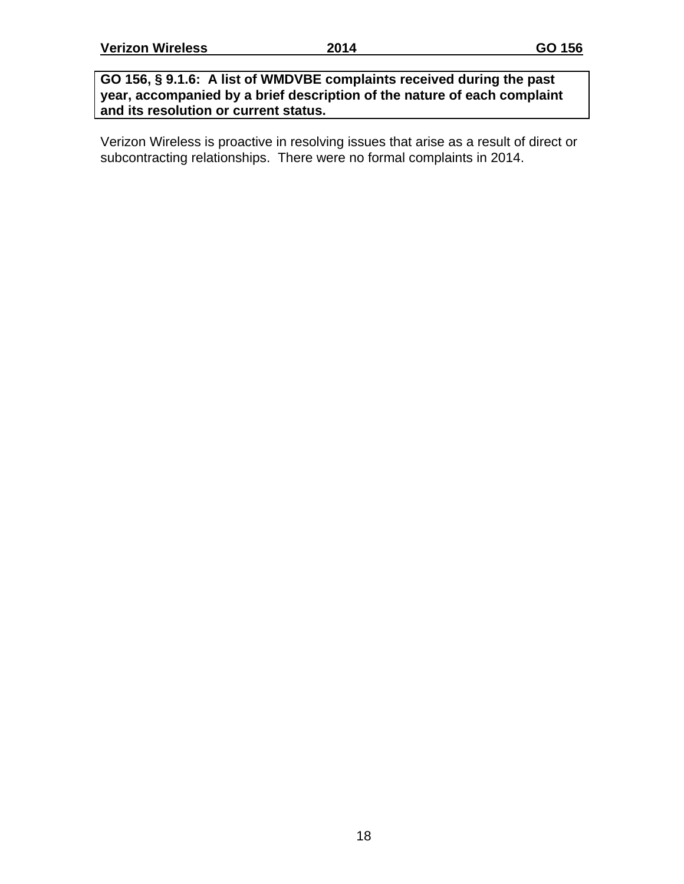### **GO 156, § 9.1.6: A list of WMDVBE complaints received during the past year, accompanied by a brief description of the nature of each complaint and its resolution or current status.**

Verizon Wireless is proactive in resolving issues that arise as a result of direct or subcontracting relationships. There were no formal complaints in 2014.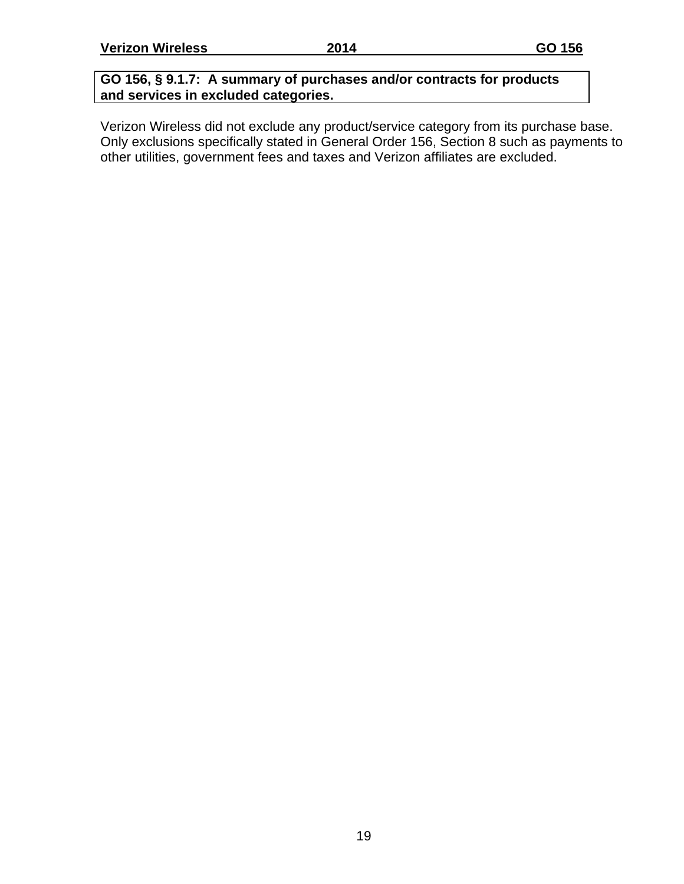### **GO 156, § 9.1.7: A summary of purchases and/or contracts for products and services in excluded categories.**

Verizon Wireless did not exclude any product/service category from its purchase base. Only exclusions specifically stated in General Order 156, Section 8 such as payments to other utilities, government fees and taxes and Verizon affiliates are excluded.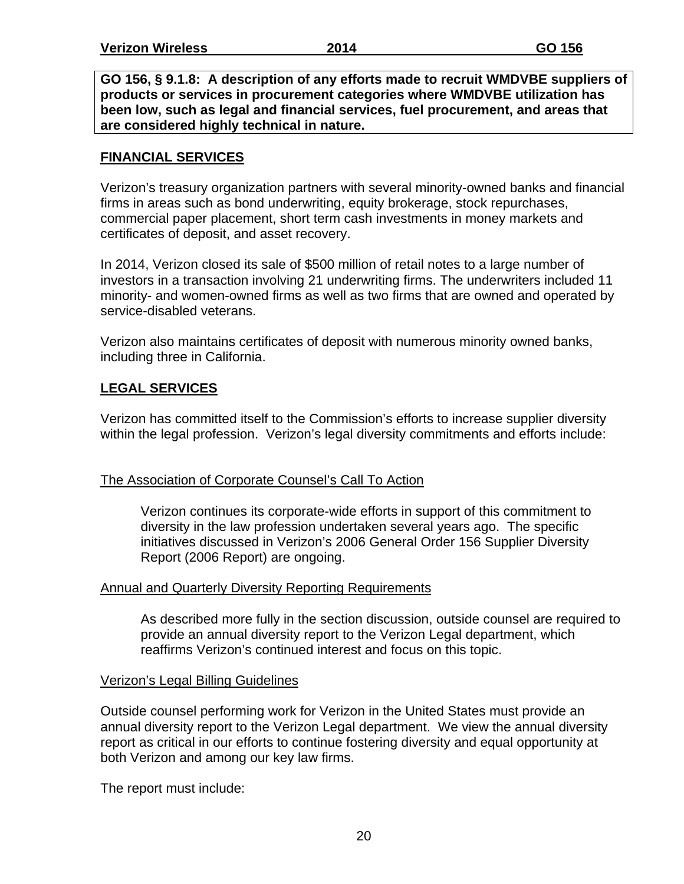**GO 156, § 9.1.8: A description of any efforts made to recruit WMDVBE suppliers of products or services in procurement categories where WMDVBE utilization has been low, such as legal and financial services, fuel procurement, and areas that are considered highly technical in nature.**

### **FINANCIAL SERVICES**

Verizon's treasury organization partners with several minority-owned banks and financial firms in areas such as bond underwriting, equity brokerage, stock repurchases, commercial paper placement, short term cash investments in money markets and certificates of deposit, and asset recovery.

In 2014, Verizon closed its sale of \$500 million of retail notes to a large number of investors in a transaction involving 21 underwriting firms. The underwriters included 11 minority- and women-owned firms as well as two firms that are owned and operated by service-disabled veterans.

Verizon also maintains certificates of deposit with numerous minority owned banks, including three in California.

### **LEGAL SERVICES**

Verizon has committed itself to the Commission's efforts to increase supplier diversity within the legal profession. Verizon's legal diversity commitments and efforts include:

### The Association of Corporate Counsel's Call To Action

Verizon continues its corporate-wide efforts in support of this commitment to diversity in the law profession undertaken several years ago. The specific initiatives discussed in Verizon's 2006 General Order 156 Supplier Diversity Report (2006 Report) are ongoing.

### Annual and Quarterly Diversity Reporting Requirements

As described more fully in the section discussion, outside counsel are required to provide an annual diversity report to the Verizon Legal department, which reaffirms Verizon's continued interest and focus on this topic.

### Verizon's Legal Billing Guidelines

Outside counsel performing work for Verizon in the United States must provide an annual diversity report to the Verizon Legal department. We view the annual diversity report as critical in our efforts to continue fostering diversity and equal opportunity at both Verizon and among our key law firms.

The report must include: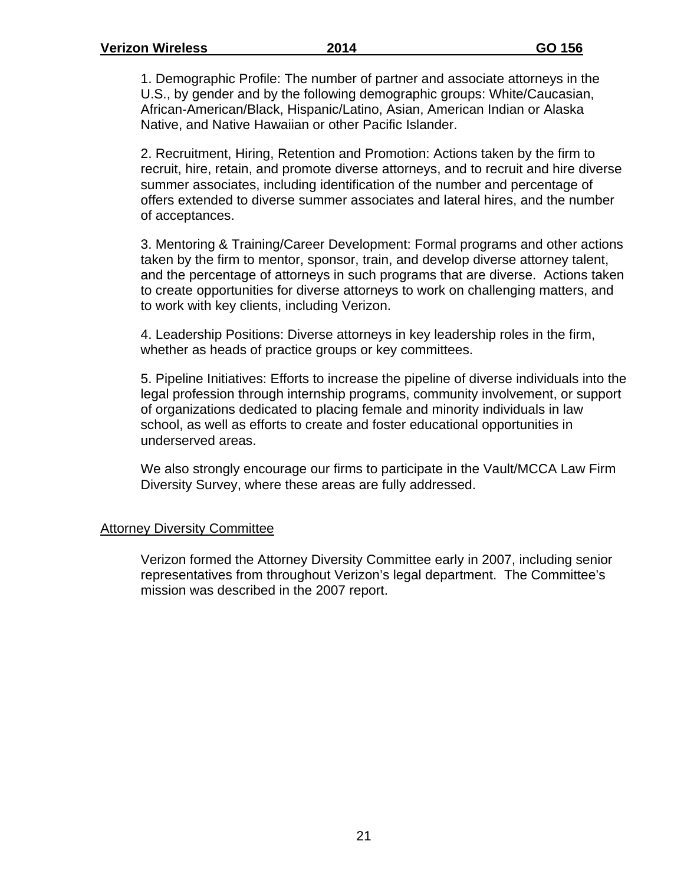1. Demographic Profile: The number of partner and associate attorneys in the U.S., by gender and by the following demographic groups: White/Caucasian, African-American/Black, Hispanic/Latino, Asian, American Indian or Alaska Native, and Native Hawaiian or other Pacific Islander.

2. Recruitment, Hiring, Retention and Promotion: Actions taken by the firm to recruit, hire, retain, and promote diverse attorneys, and to recruit and hire diverse summer associates, including identification of the number and percentage of offers extended to diverse summer associates and lateral hires, and the number of acceptances.

3. Mentoring & Training/Career Development: Formal programs and other actions taken by the firm to mentor, sponsor, train, and develop diverse attorney talent, and the percentage of attorneys in such programs that are diverse. Actions taken to create opportunities for diverse attorneys to work on challenging matters, and to work with key clients, including Verizon.

4. Leadership Positions: Diverse attorneys in key leadership roles in the firm, whether as heads of practice groups or key committees.

5. Pipeline Initiatives: Efforts to increase the pipeline of diverse individuals into the legal profession through internship programs, community involvement, or support of organizations dedicated to placing female and minority individuals in law school, as well as efforts to create and foster educational opportunities in underserved areas.

We also strongly encourage our firms to participate in the Vault/MCCA Law Firm Diversity Survey, where these areas are fully addressed.

#### Attorney Diversity Committee

Verizon formed the Attorney Diversity Committee early in 2007, including senior representatives from throughout Verizon's legal department. The Committee's mission was described in the 2007 report.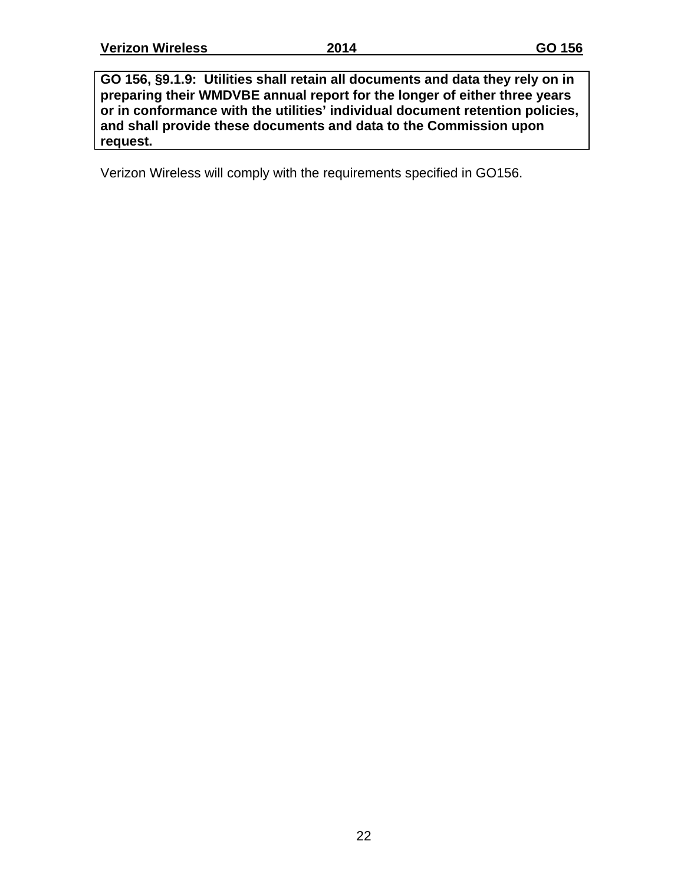**GO 156, §9.1.9: Utilities shall retain all documents and data they rely on in preparing their WMDVBE annual report for the longer of either three years or in conformance with the utilities' individual document retention policies, and shall provide these documents and data to the Commission upon request.**

Verizon Wireless will comply with the requirements specified in GO156.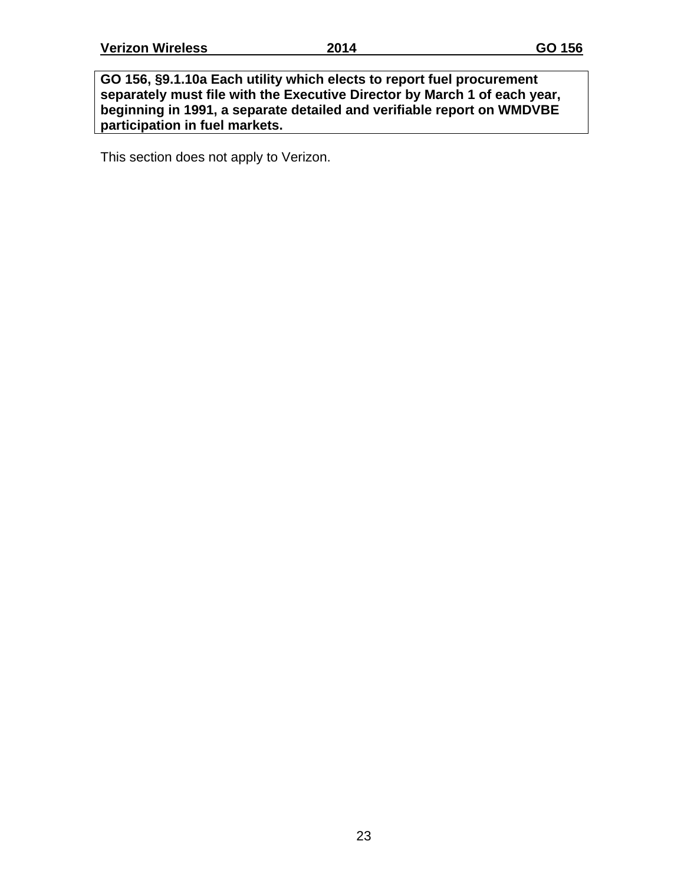**GO 156, §9.1.10a Each utility which elects to report fuel procurement separately must file with the Executive Director by March 1 of each year, beginning in 1991, a separate detailed and verifiable report on WMDVBE participation in fuel markets.** 

This section does not apply to Verizon.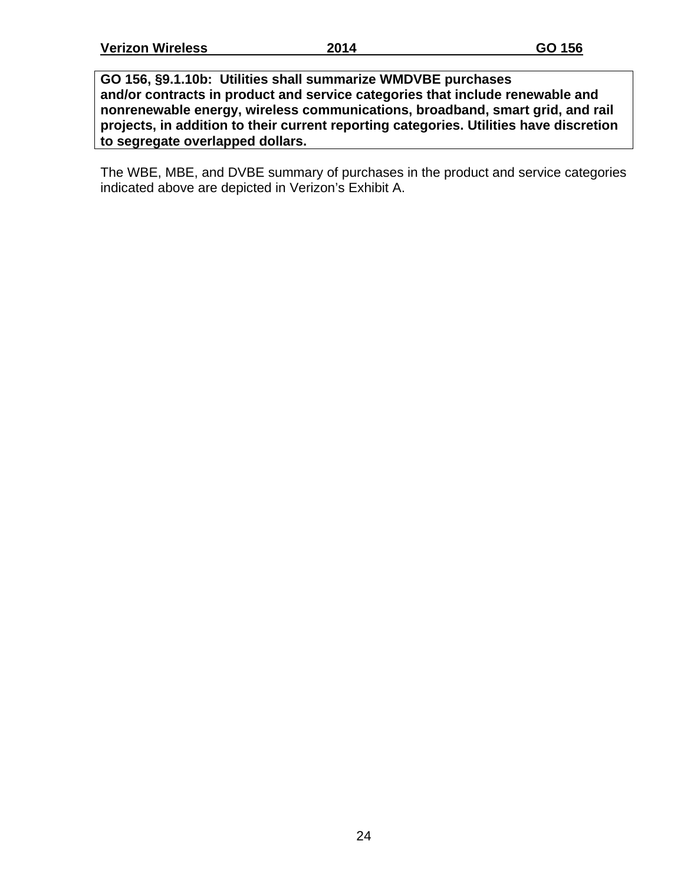**GO 156, §9.1.10b: Utilities shall summarize WMDVBE purchases and/or contracts in product and service categories that include renewable and nonrenewable energy, wireless communications, broadband, smart grid, and rail projects, in addition to their current reporting categories. Utilities have discretion to segregate overlapped dollars.**

The WBE, MBE, and DVBE summary of purchases in the product and service categories indicated above are depicted in Verizon's Exhibit A.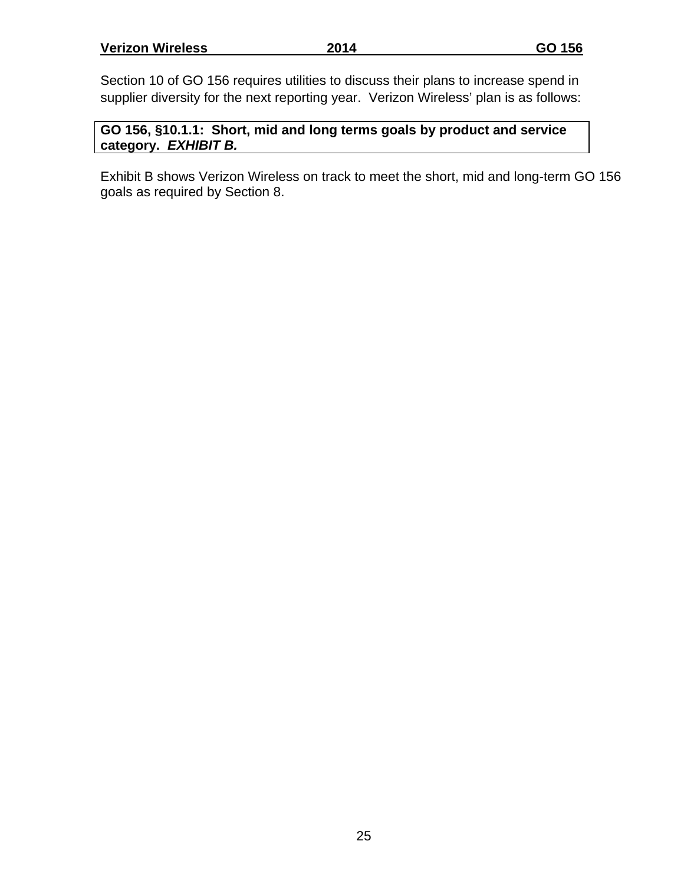Section 10 of GO 156 requires utilities to discuss their plans to increase spend in supplier diversity for the next reporting year. Verizon Wireless' plan is as follows:

**GO 156, §10.1.1: Short, mid and long terms goals by product and service category.** *EXHIBIT B.*

Exhibit B shows Verizon Wireless on track to meet the short, mid and long-term GO 156 goals as required by Section 8.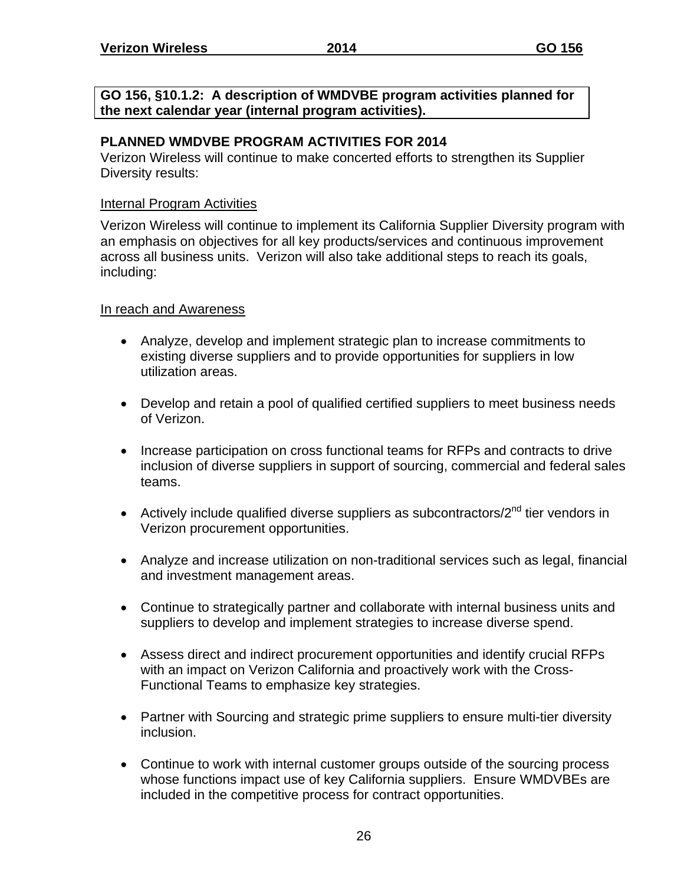**GO 156, §10.1.2: A description of WMDVBE program activities planned for the next calendar year (internal program activities).**

### **PLANNED WMDVBE PROGRAM ACTIVITIES FOR 2014**

Verizon Wireless will continue to make concerted efforts to strengthen its Supplier Diversity results:

### Internal Program Activities

Verizon Wireless will continue to implement its California Supplier Diversity program with an emphasis on objectives for all key products/services and continuous improvement across all business units. Verizon will also take additional steps to reach its goals, including:

### In reach and Awareness

- Analyze, develop and implement strategic plan to increase commitments to existing diverse suppliers and to provide opportunities for suppliers in low utilization areas.
- Develop and retain a pool of qualified certified suppliers to meet business needs of Verizon.
- Increase participation on cross functional teams for RFPs and contracts to drive inclusion of diverse suppliers in support of sourcing, commercial and federal sales teams.
- Actively include qualified diverse suppliers as subcontractors/ $2<sup>nd</sup>$  tier vendors in Verizon procurement opportunities.
- Analyze and increase utilization on non-traditional services such as legal, financial and investment management areas.
- Continue to strategically partner and collaborate with internal business units and suppliers to develop and implement strategies to increase diverse spend.
- Assess direct and indirect procurement opportunities and identify crucial RFPs with an impact on Verizon California and proactively work with the Cross-Functional Teams to emphasize key strategies.
- Partner with Sourcing and strategic prime suppliers to ensure multi-tier diversity inclusion.
- Continue to work with internal customer groups outside of the sourcing process whose functions impact use of key California suppliers. Ensure WMDVBEs are included in the competitive process for contract opportunities.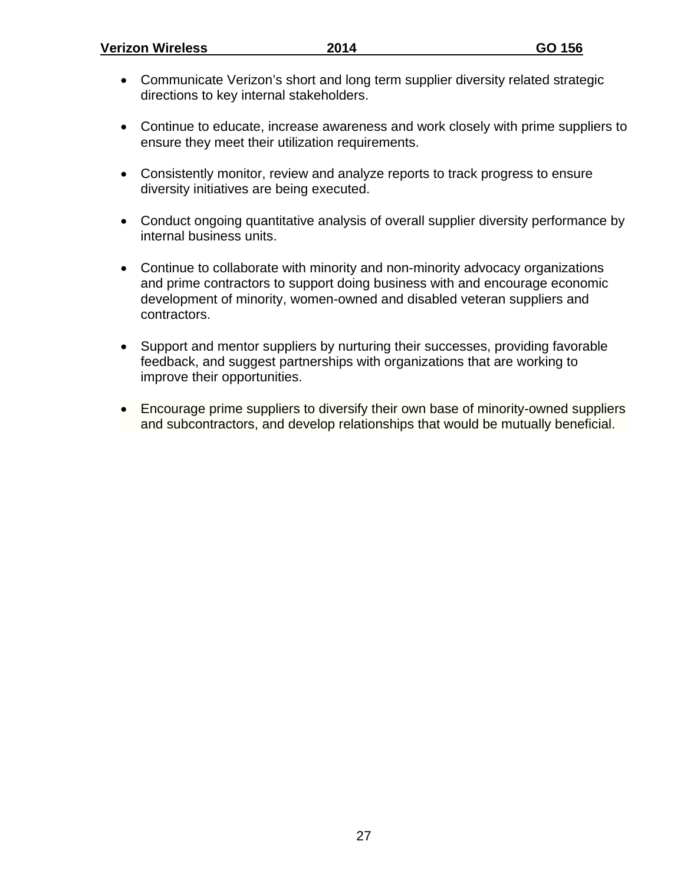- Communicate Verizon's short and long term supplier diversity related strategic directions to key internal stakeholders.
- Continue to educate, increase awareness and work closely with prime suppliers to ensure they meet their utilization requirements.
- Consistently monitor, review and analyze reports to track progress to ensure diversity initiatives are being executed.
- Conduct ongoing quantitative analysis of overall supplier diversity performance by internal business units.
- Continue to collaborate with minority and non-minority advocacy organizations and prime contractors to support doing business with and encourage economic development of minority, women-owned and disabled veteran suppliers and contractors.
- Support and mentor suppliers by nurturing their successes, providing favorable feedback, and suggest partnerships with organizations that are working to improve their opportunities.
- Encourage prime suppliers to diversify their own base of minority-owned suppliers and subcontractors, and develop relationships that would be mutually beneficial.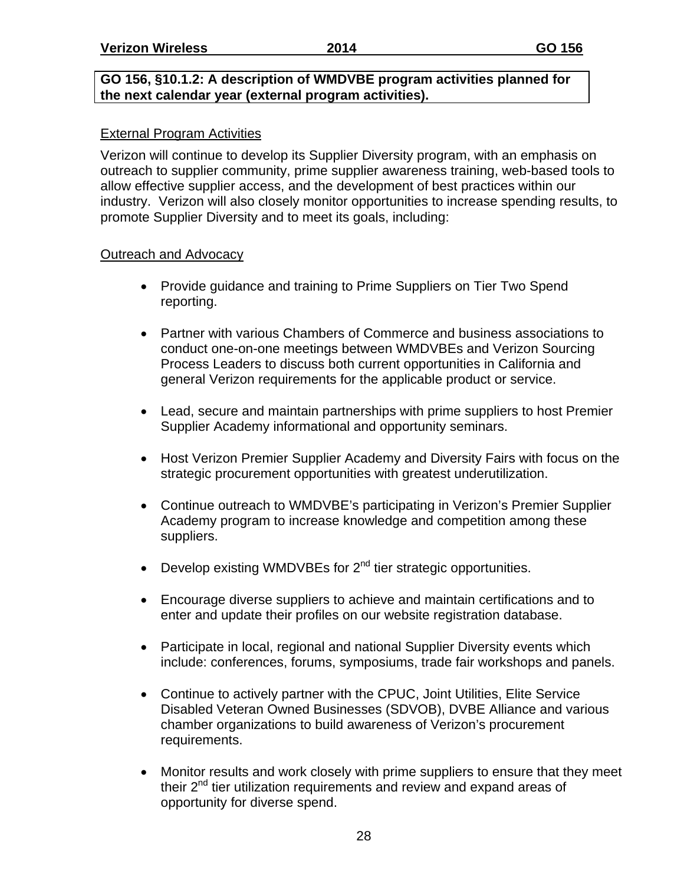### **GO 156, §10.1.2: A description of WMDVBE program activities planned for the next calendar year (external program activities).**

### External Program Activities

Verizon will continue to develop its Supplier Diversity program, with an emphasis on outreach to supplier community, prime supplier awareness training, web-based tools to allow effective supplier access, and the development of best practices within our industry. Verizon will also closely monitor opportunities to increase spending results, to promote Supplier Diversity and to meet its goals, including:

### Outreach and Advocacy

- Provide guidance and training to Prime Suppliers on Tier Two Spend reporting.
- Partner with various Chambers of Commerce and business associations to conduct one-on-one meetings between WMDVBEs and Verizon Sourcing Process Leaders to discuss both current opportunities in California and general Verizon requirements for the applicable product or service.
- Lead, secure and maintain partnerships with prime suppliers to host Premier Supplier Academy informational and opportunity seminars.
- Host Verizon Premier Supplier Academy and Diversity Fairs with focus on the strategic procurement opportunities with greatest underutilization.
- Continue outreach to WMDVBE's participating in Verizon's Premier Supplier Academy program to increase knowledge and competition among these suppliers.
- $\bullet$  Develop existing WMDVBEs for  $2^{nd}$  tier strategic opportunities.
- Encourage diverse suppliers to achieve and maintain certifications and to enter and update their profiles on our website registration database.
- Participate in local, regional and national Supplier Diversity events which include: conferences, forums, symposiums, trade fair workshops and panels.
- Continue to actively partner with the CPUC, Joint Utilities, Elite Service Disabled Veteran Owned Businesses (SDVOB), DVBE Alliance and various chamber organizations to build awareness of Verizon's procurement requirements.
- Monitor results and work closely with prime suppliers to ensure that they meet their  $2^{nd}$  tier utilization requirements and review and expand areas of opportunity for diverse spend.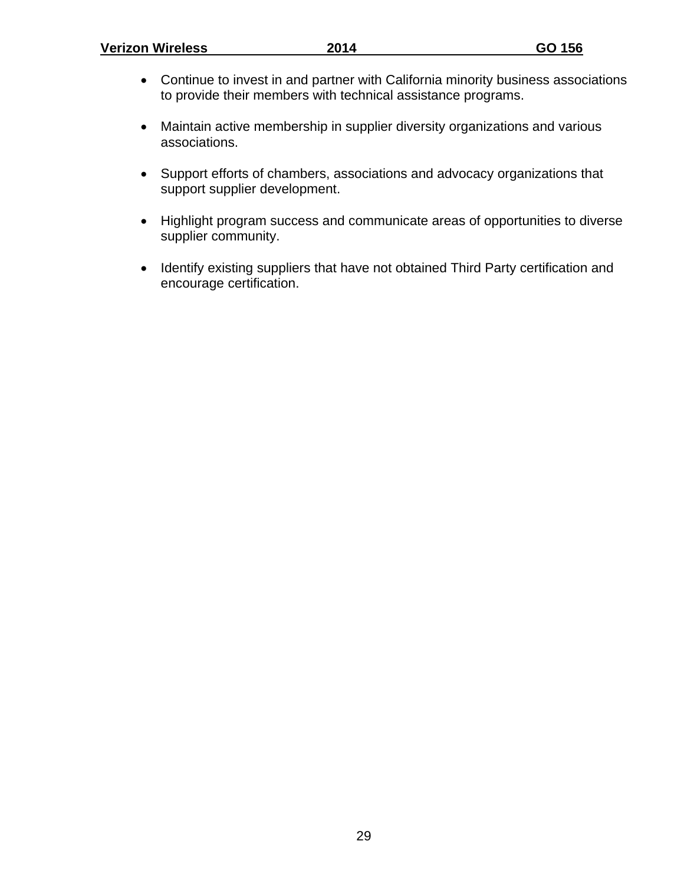#### **Verizon Wireless 2014 GO 156**

- Continue to invest in and partner with California minority business associations to provide their members with technical assistance programs.
- Maintain active membership in supplier diversity organizations and various associations.
- Support efforts of chambers, associations and advocacy organizations that support supplier development.
- Highlight program success and communicate areas of opportunities to diverse supplier community.
- Identify existing suppliers that have not obtained Third Party certification and encourage certification.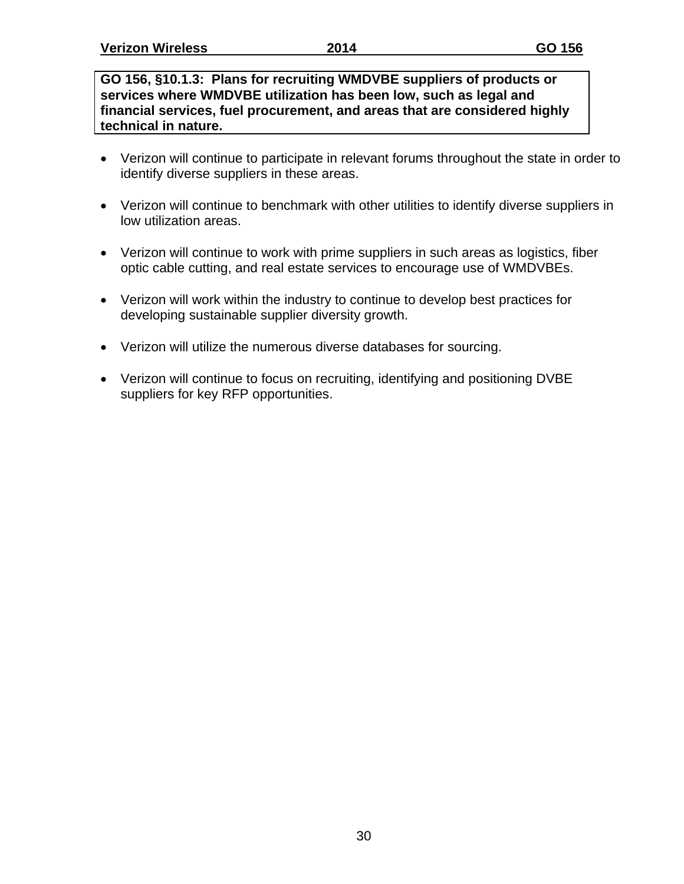**GO 156, §10.1.3: Plans for recruiting WMDVBE suppliers of products or services where WMDVBE utilization has been low, such as legal and financial services, fuel procurement, and areas that are considered highly technical in nature.**

- Verizon will continue to participate in relevant forums throughout the state in order to identify diverse suppliers in these areas.
- Verizon will continue to benchmark with other utilities to identify diverse suppliers in low utilization areas.
- Verizon will continue to work with prime suppliers in such areas as logistics, fiber optic cable cutting, and real estate services to encourage use of WMDVBEs.
- Verizon will work within the industry to continue to develop best practices for developing sustainable supplier diversity growth.
- Verizon will utilize the numerous diverse databases for sourcing.
- Verizon will continue to focus on recruiting, identifying and positioning DVBE suppliers for key RFP opportunities.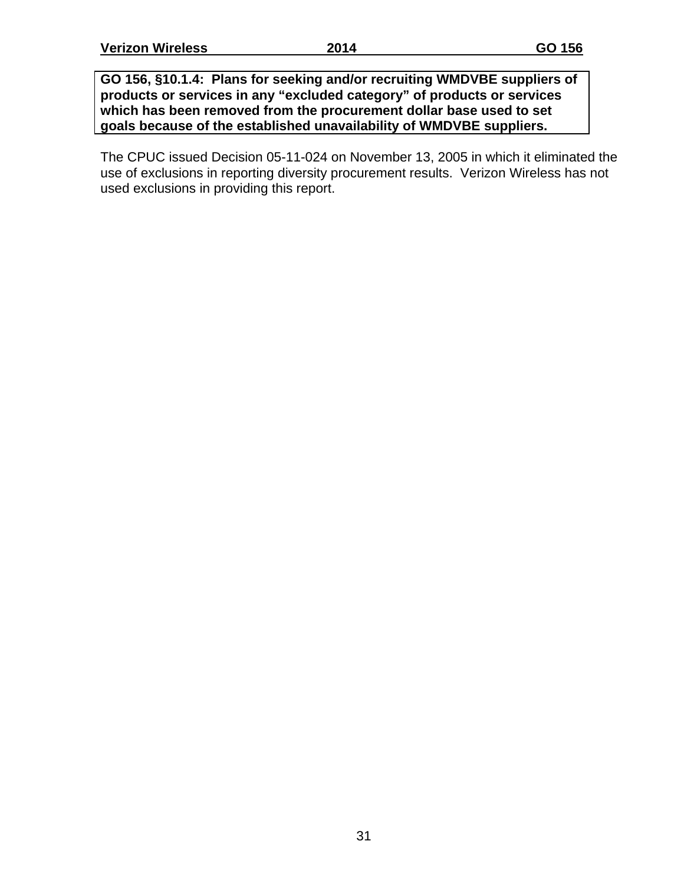**GO 156, §10.1.4: Plans for seeking and/or recruiting WMDVBE suppliers of products or services in any "excluded category" of products or services which has been removed from the procurement dollar base used to set goals because of the established unavailability of WMDVBE suppliers.**

The CPUC issued Decision 05-11-024 on November 13, 2005 in which it eliminated the use of exclusions in reporting diversity procurement results. Verizon Wireless has not used exclusions in providing this report.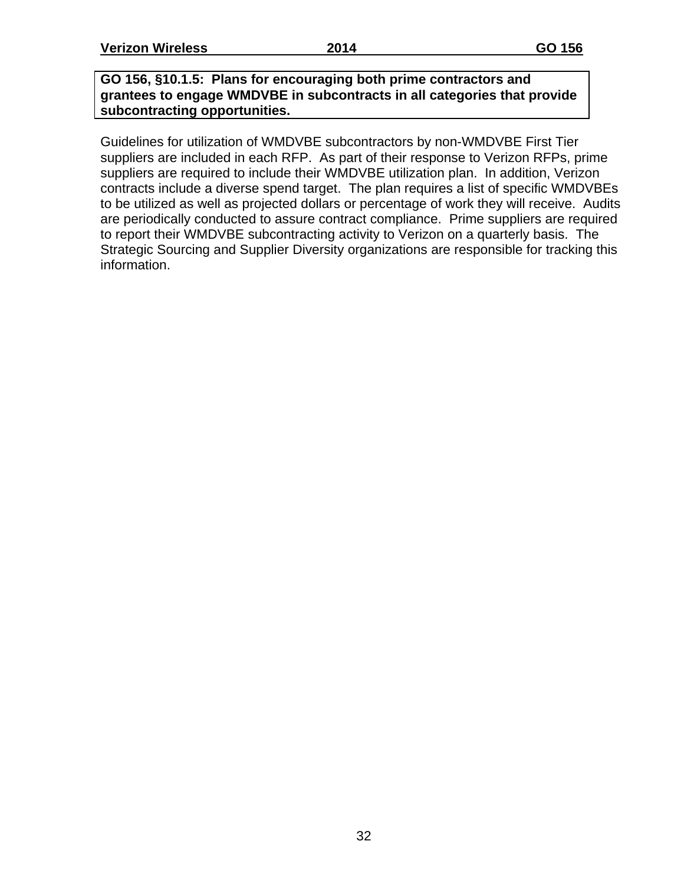**GO 156, §10.1.5: Plans for encouraging both prime contractors and grantees to engage WMDVBE in subcontracts in all categories that provide subcontracting opportunities.**

Guidelines for utilization of WMDVBE subcontractors by non-WMDVBE First Tier suppliers are included in each RFP. As part of their response to Verizon RFPs, prime suppliers are required to include their WMDVBE utilization plan. In addition, Verizon contracts include a diverse spend target. The plan requires a list of specific WMDVBEs to be utilized as well as projected dollars or percentage of work they will receive. Audits are periodically conducted to assure contract compliance. Prime suppliers are required to report their WMDVBE subcontracting activity to Verizon on a quarterly basis. The Strategic Sourcing and Supplier Diversity organizations are responsible for tracking this information.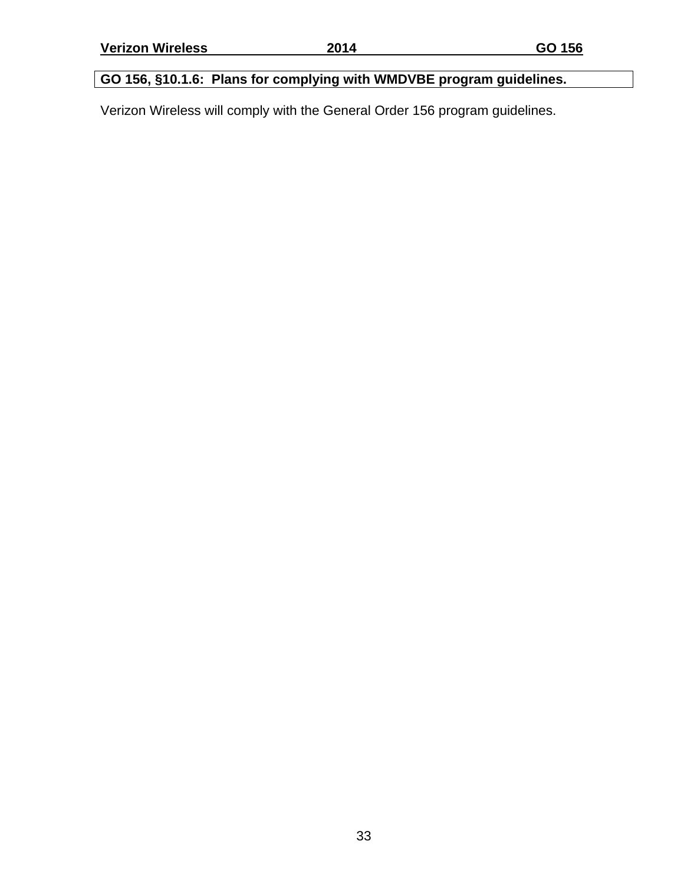## **GO 156, §10.1.6: Plans for complying with WMDVBE program guidelines.**

Verizon Wireless will comply with the General Order 156 program guidelines.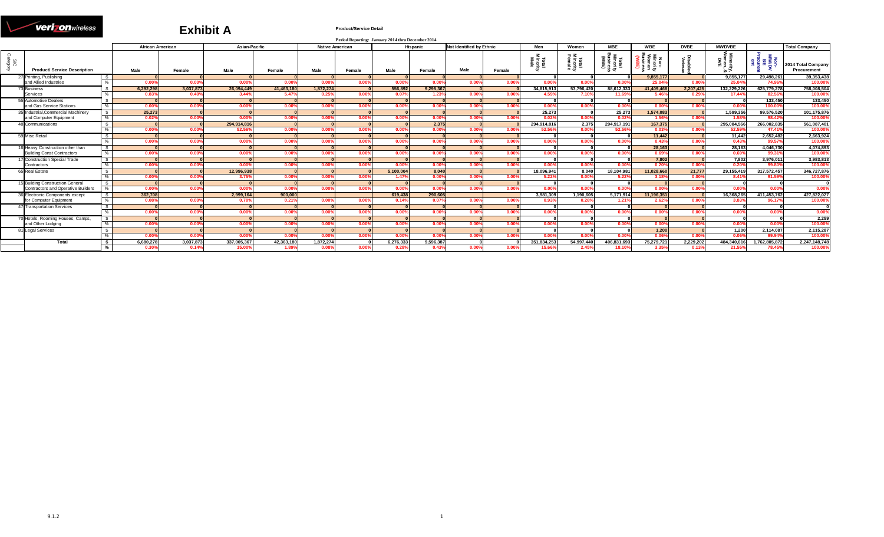#### **veri** onwireless N

#### **Exhibit A**

#### **Product/Service Detail**

|           |                                           |               |                         |                |                      |            |           | Period Reporting: January 2014 thru December 2014 |           |                |                                 |                |                       |                |                       |                  |             |                       |                       |                                   |
|-----------|-------------------------------------------|---------------|-------------------------|----------------|----------------------|------------|-----------|---------------------------------------------------|-----------|----------------|---------------------------------|----------------|-----------------------|----------------|-----------------------|------------------|-------------|-----------------------|-----------------------|-----------------------------------|
|           |                                           |               | <b>African American</b> |                | Asian-Pacific        |            |           | <b>Native American</b>                            |           | Hispanic       | <b>Not Identified by Ethnic</b> |                | Men                   | Women          | <b>MBE</b>            | <b>WBE</b>       | <b>DVBE</b> | <b>MWDVBE</b>         |                       | <b>Total Company</b>              |
| ខ្លី ខ្លី | <b>Product/ Service Description</b>       |               | Male                    | Female         | Male                 | Female     | Male      | Female                                            | Male      | Female         | Male                            | Female         | Total<br>Male         |                | €<br>ت                |                  |             |                       | - 具角 画类的              | 2014 Total Company<br>Procurement |
|           | 27 Printing, Publishing                   | S.            |                         |                |                      |            |           |                                                   |           |                |                                 |                |                       |                |                       | 9.855.17         |             | 9.855.17              | 29.498.261            | 39.353.438                        |
|           | and Allied Industries                     |               | $0.00^{\circ}$          | 0.00           | 0.00%                | 0.00%      | 0.00%     | 0.00                                              | 0.00%     | 0.00%          | $0.00^{\circ}$                  | 0.009          | 0.00%                 | $0.00^{\circ}$ | 0.00%                 | 25.04%           | 0.009       | 25.04                 | 74.96                 | 100.00%                           |
|           | <b>73 Business</b>                        |               | 6.292.298               | 3.037.873      | 26.094.449           | 41.463.180 | 1.872.274 |                                                   | 556.892   | 9.295.367      |                                 |                | 34.815.913            | 53.796.420     | 88.612.333            | 41.409.468       | 2.207.425   | 132.229.226           | 625.779.278           | 758.008.504                       |
|           | Services                                  |               | 0.83%                   | $0.40^{\circ}$ | 3.44%                | 5.47%      | 0.25%     | $0.00^{\circ}$                                    | 0.07%     | 1.23%          | 0.00                            | 0.009          | 4.59%                 | 7.10%          | 11.69%                | 5.46             | 0.29%       | 17.44%                | 82.56%                | 100.00%                           |
|           | 55 Automotive Dealers                     |               |                         |                |                      |            |           |                                                   |           |                |                                 |                |                       |                |                       |                  |             |                       | 133,450               | 133,450                           |
|           | and Gas Service Stations                  | %             | 0.00%                   | $0.00^{\circ}$ | 0.00%                | 0.00%      | 0.00%     | $0.00^{\circ}$                                    | 0.00%     | 0.00%          | 0.00%                           | 0.00%          | 0.00%                 | 0.00%          | 0.00%                 | $0.00^{\circ}$   | 0.00%       | 0.00%                 | 100.00%               | 100.00%                           |
|           | 35 Industrial.Commercial Machinery        | $\mathbb{S}$  | 25.273                  |                |                      |            |           |                                                   |           |                |                                 |                | 25.273                |                | 25.273                | 1.574.083        |             | 1.599.356             | 99.576.520            | 101,175,876                       |
|           | and Computer Equipment                    |               | 0.02%                   | $0.00^{\circ}$ | 0.00%                | 0.00%      | 0.00%     | $0.00^{\circ}$                                    | $0.00\%$  | 0.00%          | $0.00\%$                        | 0.00%          | 0.029                 | 0.00%          | 0.02%                 | $1.56^{\circ}$   | 0.00%       | 1.58%                 | 98.42%<br>266.002.835 | 100.00%                           |
|           | 48 Communications                         |               | 0.00%                   |                | 294.914.816<br>52.56 |            |           |                                                   |           | 2.375<br>0.00% |                                 |                | 294.914.816<br>52.56% | 2.375          | 294.917.191<br>52.56% | 167.375<br>0.03% |             | 295.084.566<br>52.59% | 47.41%                | 561,087,401<br>100.00%            |
|           |                                           |               |                         | $0.00^{\circ}$ |                      | 0.00       | 0.00%     |                                                   | 0.00%     |                | 0.00%                           | 0.00%          |                       | 0.00%          |                       |                  | 0.00%       |                       |                       |                                   |
|           | 59 Misc Retail                            | $^{\circ}$    | 0.00%                   | $0.00^{\circ}$ | 0.00                 | 0.00%      | 0.00%     | $0.00^{\circ}$                                    | 0.00%     | 0.00%          | 0.00%                           | 0.00%          | 0.00%                 | 0.00%          | 0.00%                 | 11,442<br>0.43%  | 0.00%       | 11,442<br>0.43%       | 2.652.482<br>99.57%   | 2,663,924<br>100.00%              |
|           | 16 Heavy Construction other than          | $\sqrt{2}$    |                         |                |                      |            |           |                                                   |           |                |                                 |                |                       |                |                       | 28.163           |             | 28.163                | 4.046.730             | 4.074.893                         |
|           | <b>Building Const Contractors</b>         | %             | 0.00%                   | $0.00^{\circ}$ | 0.00%                | 0.00%      | 0.00%     | $0.00^{\circ}$                                    | 0.00%     | 0.00%          | 0.00%                           | $0.00^{\circ}$ | 0.00%                 | 0.00%          | 0.00%                 | 0.69%            | 0.009       | 0.69%                 | 99.31%                | 100.00%                           |
|           | 17 Construction Special Trade             | $\sqrt{s}$    |                         |                |                      |            |           |                                                   |           |                |                                 |                |                       |                |                       | 7,802            |             | 7,802                 | 3,976,011             | 3,983,813                         |
|           | Contractors                               |               | 0.00%                   | $0.00^{\circ}$ | $0.00^{\circ}$       | 0.00%      | 0.00%     | $0.00^{\circ}$                                    | $0.00\%$  | 0.00%          | 0.00%                           | 0.00%          | 0.00%                 | 0.00%          | $0.00\%$              | $0.20^{\circ}$   | 0.00%       | $0.20^{\circ}$        | 99.80%                | 100.00%                           |
|           | 65 Real Estate                            |               |                         |                | 12.996.938           |            |           |                                                   | 5.100.004 | 8.040          |                                 |                | 18.096.941            | 8.040          | 18.104.981            | 11.028.660       | 21.777      | 29.155.419            | 317,572,457           | 346,727,876                       |
|           |                                           |               | 0.00%                   | $0.00^{\circ}$ | 3.75%                | 0.00%      | 0.00%     | 0.00                                              | 1.47%     | 0.00%          | 0.00%                           | 0.00%          | 5.22%                 | 0.00%          | 5.22%                 | $3.18^{\circ}$   | 0.00%       | 8.41%                 | 91.59%                | 100.00%                           |
|           | 15 Building Construction General          |               |                         |                |                      |            |           |                                                   |           |                |                                 |                |                       |                |                       |                  |             |                       |                       |                                   |
|           | <b>Contractors and Operative Builders</b> | $O_{\Lambda}$ | 0.00%                   | $0.00^{\circ}$ | 0.00%                | 0.00%      | 0.00%     | 0.00                                              | 0.00%     | 0.00%          | 0.00%                           | 0.00%          | $0.00^{\circ}$        | 0.00%          | 0.00%                 | $0.00^{\circ}$   | 0.009       | 0.00                  | 0.00%                 | 0.00%                             |
|           | <b>86 Electronic Components except</b>    |               | 362,708                 |                | 2,999,164            | 900.000    |           |                                                   | 619.438   | 290.605        |                                 |                | 3.981.309             | 1,190,605      | 5.171.914             | 11,196,351       |             | 16.368.265            | 411,453,762           | 427,822,027                       |
|           | for Computer Equipment                    |               | 0.08%                   | $0.00^{\circ}$ |                      | 0.21%      | 0.00%     | 0.00'                                             | 0.14%     | 0.07%          | 0.00%                           | 0.00%          | 0.93%                 | 0.28%          | 1.21%                 | 2.62°            | 0.00%       | 3.83%                 | 96.17                 | 100.00%                           |
|           | 47 Transportation Services                |               |                         |                |                      |            |           |                                                   |           |                |                                 |                |                       |                |                       |                  |             |                       |                       |                                   |
|           |                                           |               | 0.00%                   | $0.00^{\circ}$ | $0.00^{\circ}$       | 0.00%      | 0.00%     | 0.00                                              | $0.00\%$  | 0.00%          | 0.00%                           | 0.00%          | 0.00                  | 0.00%          | $0.00\%$              | $0.00^{\circ}$   | 0.00%       | $0.00^{\circ}$        | $0.00\%$              | 0.00%                             |
|           | 70 Hotels, Rooming Houses, Camps,         | S.            |                         |                |                      |            |           |                                                   |           |                |                                 |                |                       |                |                       |                  |             |                       |                       | 2,259                             |
|           | and Other Lodging                         | %             | 0.00%                   | $0.00^{\circ}$ | 0.00%                | 0.00%      | 0.00%     | 0.00                                              | 0.00%     | 0.00%          | $0.00\%$                        | 0.00%          | 0.00%                 | 0.00%          | 0.00%                 | $0.00^{\circ}$   | 0.00%       | 0.00%                 | 0.00%                 | 100.00%                           |
|           | 81 Legal Services                         |               |                         |                |                      |            |           |                                                   |           |                |                                 |                |                       |                |                       | 1.200            |             | 1.200                 | 2,114,087             | 2,115,287                         |
|           |                                           |               | 0.00%                   | $0.00^{\circ}$ | 0.00%                | 0.00%      | 0.00%     | $0.00^{\circ}$                                    | 0.00%     | 0.00%          | 0.00%                           | 0.00%          | $0.00^{\circ}$        | 0.009          | 0.00%                 | 0.06°            | 0.00%       | $0.06^{\circ}$        | 99.94%                | 100.00%                           |
|           | Total                                     |               | 6,680,278               | 3,037,873      | 337,005,367          | 42,363,180 | 1.872.274 |                                                   | 6,276,333 | 9,596,387      |                                 |                | 351,834,253           | 54,997,440     | 406,831,693           | 75,279,721       | 2,229,202   | 484,340,616           | 1,762,805,872         | 2,247,148,748                     |
|           |                                           |               | 0.30%                   | 0.14%          | 15.00%               | 1.89%      | 0.08%     | 0.00%                                             | 0.28%     | 0.43%          | 0.00%                           | 0.00%          | 15.66                 | 2.45%          | 18.10%                | 3.35%            | 0.13%       | 21.55%                | 78.45°                | 100.00%                           |